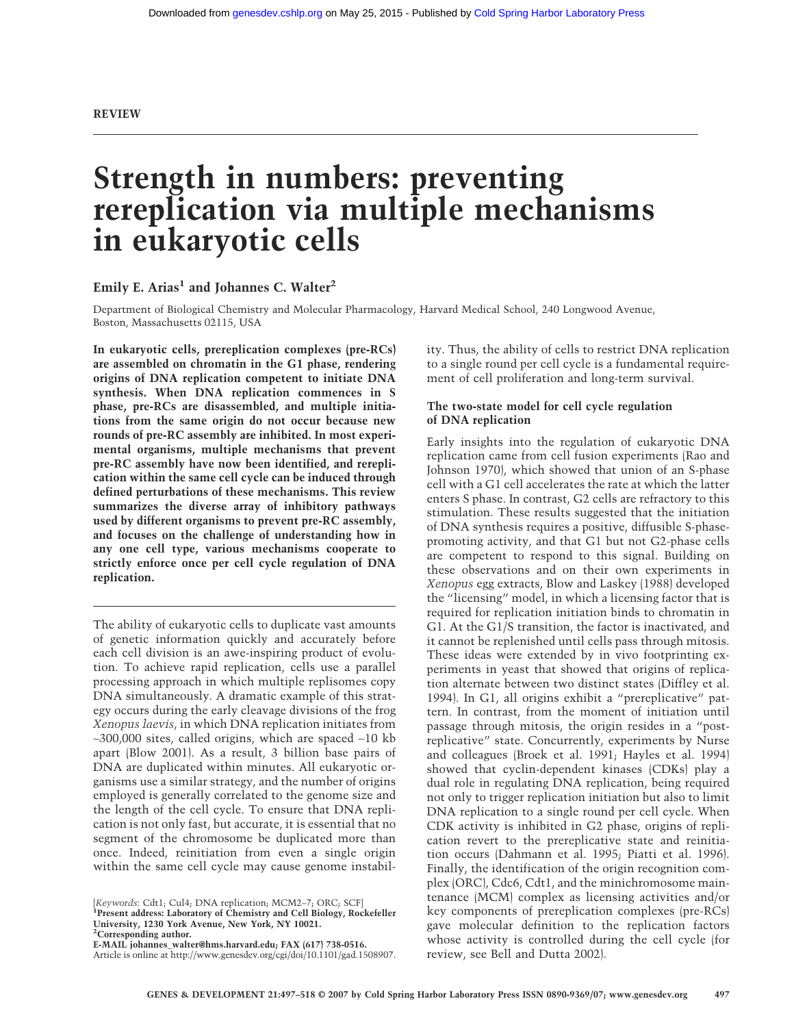# **Strength in numbers: preventing rereplication via multiple mechanisms in eukaryotic cells**

# **Emily E. Arias<sup>1</sup> and Johannes C. Walter2**

Department of Biological Chemistry and Molecular Pharmacology, Harvard Medical School, 240 Longwood Avenue, Boston, Massachusetts 02115, USA

**In eukaryotic cells, prereplication complexes (pre-RCs) are assembled on chromatin in the G1 phase, rendering origins of DNA replication competent to initiate DNA synthesis. When DNA replication commences in S phase, pre-RCs are disassembled, and multiple initiations from the same origin do not occur because new rounds of pre-RC assembly are inhibited. In most experimental organisms, multiple mechanisms that prevent pre-RC assembly have now been identified, and rereplication within the same cell cycle can be induced through defined perturbations of these mechanisms. This review summarizes the diverse array of inhibitory pathways used by different organisms to prevent pre-RC assembly, and focuses on the challenge of understanding how in any one cell type, various mechanisms cooperate to strictly enforce once per cell cycle regulation of DNA replication.**

The ability of eukaryotic cells to duplicate vast amounts of genetic information quickly and accurately before each cell division is an awe-inspiring product of evolution. To achieve rapid replication, cells use a parallel processing approach in which multiple replisomes copy DNA simultaneously. A dramatic example of this strategy occurs during the early cleavage divisions of the frog *Xenopus laevis*, in which DNA replication initiates from ∼300,000 sites, called origins, which are spaced ∼10 kb apart (Blow 2001). As a result, 3 billion base pairs of DNA are duplicated within minutes. All eukaryotic organisms use a similar strategy, and the number of origins employed is generally correlated to the genome size and the length of the cell cycle. To ensure that DNA replication is not only fast, but accurate, it is essential that no segment of the chromosome be duplicated more than once. Indeed, reinitiation from even a single origin within the same cell cycle may cause genome instability. Thus, the ability of cells to restrict DNA replication to a single round per cell cycle is a fundamental requirement of cell proliferation and long-term survival.

# **The two-state model for cell cycle regulation of DNA replication**

Early insights into the regulation of eukaryotic DNA replication came from cell fusion experiments (Rao and Johnson 1970), which showed that union of an S-phase cell with a G1 cell accelerates the rate at which the latter enters S phase. In contrast, G2 cells are refractory to this stimulation. These results suggested that the initiation of DNA synthesis requires a positive, diffusible S-phasepromoting activity, and that G1 but not G2-phase cells are competent to respond to this signal. Building on these observations and on their own experiments in *Xenopus* egg extracts, Blow and Laskey (1988) developed the "licensing" model, in which a licensing factor that is required for replication initiation binds to chromatin in G1. At the G1/S transition, the factor is inactivated, and it cannot be replenished until cells pass through mitosis. These ideas were extended by in vivo footprinting experiments in yeast that showed that origins of replication alternate between two distinct states (Diffley et al. 1994). In G1, all origins exhibit a "prereplicative" pattern. In contrast, from the moment of initiation until passage through mitosis, the origin resides in a "postreplicative" state. Concurrently, experiments by Nurse and colleagues (Broek et al. 1991; Hayles et al. 1994) showed that cyclin-dependent kinases (CDKs) play a dual role in regulating DNA replication, being required not only to trigger replication initiation but also to limit DNA replication to a single round per cell cycle. When CDK activity is inhibited in G2 phase, origins of replication revert to the prereplicative state and reinitiation occurs (Dahmann et al. 1995; Piatti et al. 1996). Finally, the identification of the origin recognition complex (ORC), Cdc6, Cdt1, and the minichromosome maintenance (MCM) complex as licensing activities and/or key components of prereplication complexes (pre-RCs) gave molecular definition to the replication factors whose activity is controlled during the cell cycle (for review, see Bell and Dutta 2002).

<sup>[</sup>*Keywords*: Cdt1; Cul4; DNA replication; MCM2–7; ORC; SCF] **<sup>1</sup>**

**Present address: Laboratory of Chemistry and Cell Biology, Rockefeller University, 1230 York Avenue, New York, NY 10021.**

**<sup>2</sup> Corresponding author.**

**E-MAIL johannes\_walter@hms.harvard.edu; FAX (617) 738-0516.** Article is online at http://www.genesdev.org/cgi/doi/10.1101/gad.1508907.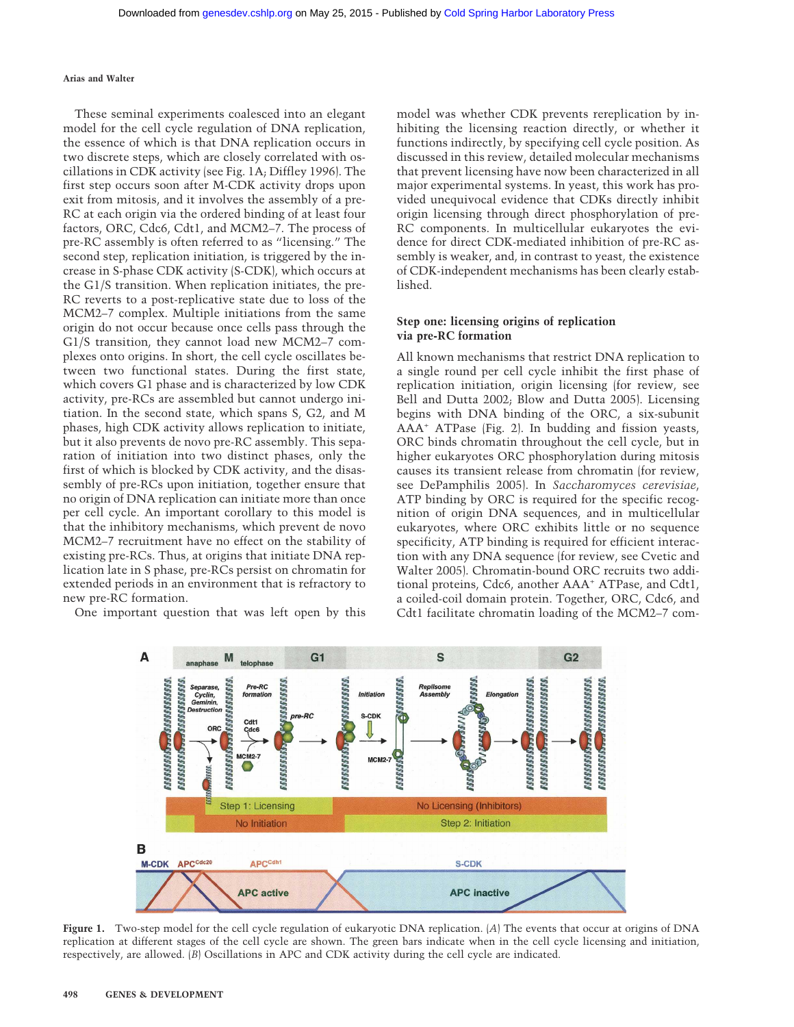These seminal experiments coalesced into an elegant model for the cell cycle regulation of DNA replication, the essence of which is that DNA replication occurs in two discrete steps, which are closely correlated with oscillations in CDK activity (see Fig. 1A; Diffley 1996). The first step occurs soon after M-CDK activity drops upon exit from mitosis, and it involves the assembly of a pre-RC at each origin via the ordered binding of at least four factors, ORC, Cdc6, Cdt1, and MCM2–7. The process of pre-RC assembly is often referred to as "licensing." The second step, replication initiation, is triggered by the increase in S-phase CDK activity (S-CDK), which occurs at the G1/S transition. When replication initiates, the pre-RC reverts to a post-replicative state due to loss of the MCM2–7 complex. Multiple initiations from the same origin do not occur because once cells pass through the G1/S transition, they cannot load new MCM2–7 complexes onto origins. In short, the cell cycle oscillates between two functional states. During the first state, which covers G1 phase and is characterized by low CDK activity, pre-RCs are assembled but cannot undergo initiation. In the second state, which spans S, G2, and M phases, high CDK activity allows replication to initiate, but it also prevents de novo pre-RC assembly. This separation of initiation into two distinct phases, only the first of which is blocked by CDK activity, and the disassembly of pre-RCs upon initiation, together ensure that no origin of DNA replication can initiate more than once per cell cycle. An important corollary to this model is that the inhibitory mechanisms, which prevent de novo MCM2–7 recruitment have no effect on the stability of existing pre-RCs. Thus, at origins that initiate DNA replication late in S phase, pre-RCs persist on chromatin for extended periods in an environment that is refractory to new pre-RC formation.

One important question that was left open by this

model was whether CDK prevents rereplication by inhibiting the licensing reaction directly, or whether it functions indirectly, by specifying cell cycle position. As discussed in this review, detailed molecular mechanisms that prevent licensing have now been characterized in all major experimental systems. In yeast, this work has provided unequivocal evidence that CDKs directly inhibit origin licensing through direct phosphorylation of pre-RC components. In multicellular eukaryotes the evidence for direct CDK-mediated inhibition of pre-RC assembly is weaker, and, in contrast to yeast, the existence of CDK-independent mechanisms has been clearly established.

# **Step one: licensing origins of replication via pre-RC formation**

All known mechanisms that restrict DNA replication to a single round per cell cycle inhibit the first phase of replication initiation, origin licensing (for review, see Bell and Dutta 2002; Blow and Dutta 2005). Licensing begins with DNA binding of the ORC, a six-subunit AAA+ ATPase (Fig. 2). In budding and fission yeasts, ORC binds chromatin throughout the cell cycle, but in higher eukaryotes ORC phosphorylation during mitosis causes its transient release from chromatin (for review, see DePamphilis 2005). In *Saccharomyces cerevisiae*, ATP binding by ORC is required for the specific recognition of origin DNA sequences, and in multicellular eukaryotes, where ORC exhibits little or no sequence specificity, ATP binding is required for efficient interaction with any DNA sequence (for review, see Cvetic and Walter 2005). Chromatin-bound ORC recruits two additional proteins, Cdc6, another AAA+ ATPase, and Cdt1, a coiled-coil domain protein. Together, ORC, Cdc6, and Cdt1 facilitate chromatin loading of the MCM2–7 com-



**Figure 1.** Two-step model for the cell cycle regulation of eukaryotic DNA replication. (*A*) The events that occur at origins of DNA replication at different stages of the cell cycle are shown. The green bars indicate when in the cell cycle licensing and initiation, respectively, are allowed. (*B*) Oscillations in APC and CDK activity during the cell cycle are indicated.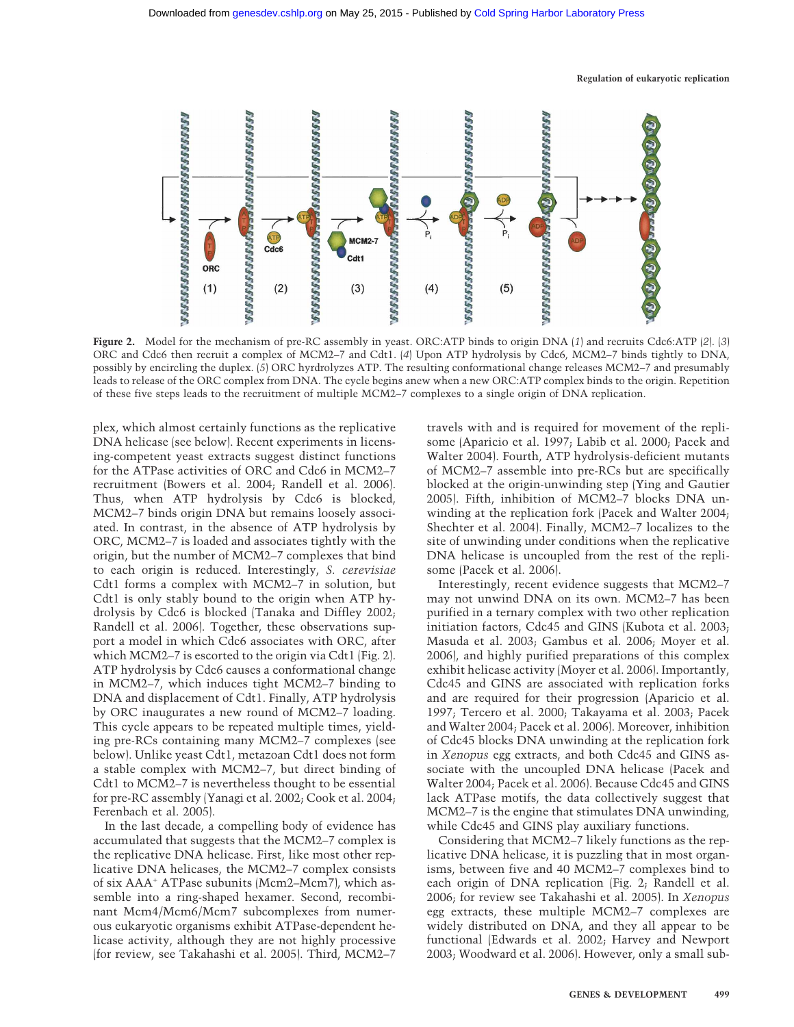**Regulation of eukaryotic replication**



**Figure 2.** Model for the mechanism of pre-RC assembly in yeast. ORC:ATP binds to origin DNA (*1*) and recruits Cdc6:ATP (*2*). (*3*) ORC and Cdc6 then recruit a complex of MCM2–7 and Cdt1. (*4*) Upon ATP hydrolysis by Cdc6, MCM2–7 binds tightly to DNA, possibly by encircling the duplex. (*5*) ORC hyrdrolyzes ATP. The resulting conformational change releases MCM2–7 and presumably leads to release of the ORC complex from DNA. The cycle begins anew when a new ORC:ATP complex binds to the origin. Repetition of these five steps leads to the recruitment of multiple MCM2–7 complexes to a single origin of DNA replication.

plex, which almost certainly functions as the replicative DNA helicase (see below). Recent experiments in licensing-competent yeast extracts suggest distinct functions for the ATPase activities of ORC and Cdc6 in MCM2–7 recruitment (Bowers et al. 2004; Randell et al. 2006). Thus, when ATP hydrolysis by Cdc6 is blocked, MCM2–7 binds origin DNA but remains loosely associated. In contrast, in the absence of ATP hydrolysis by ORC, MCM2–7 is loaded and associates tightly with the origin, but the number of MCM2–7 complexes that bind to each origin is reduced. Interestingly, *S. cerevisiae* Cdt1 forms a complex with MCM2–7 in solution, but Cdt1 is only stably bound to the origin when ATP hydrolysis by Cdc6 is blocked (Tanaka and Diffley 2002; Randell et al. 2006). Together, these observations support a model in which Cdc6 associates with ORC, after which MCM2–7 is escorted to the origin via Cdt1 (Fig. 2). ATP hydrolysis by Cdc6 causes a conformational change in MCM2–7, which induces tight MCM2–7 binding to DNA and displacement of Cdt1. Finally, ATP hydrolysis by ORC inaugurates a new round of MCM2–7 loading. This cycle appears to be repeated multiple times, yielding pre-RCs containing many MCM2–7 complexes (see below). Unlike yeast Cdt1, metazoan Cdt1 does not form a stable complex with MCM2–7, but direct binding of Cdt1 to MCM2–7 is nevertheless thought to be essential for pre-RC assembly (Yanagi et al. 2002; Cook et al. 2004; Ferenbach et al. 2005).

In the last decade, a compelling body of evidence has accumulated that suggests that the MCM2–7 complex is the replicative DNA helicase. First, like most other replicative DNA helicases, the MCM2–7 complex consists of six AAA+ ATPase subunits (Mcm2–Mcm7), which assemble into a ring-shaped hexamer. Second, recombinant Mcm4/Mcm6/Mcm7 subcomplexes from numerous eukaryotic organisms exhibit ATPase-dependent helicase activity, although they are not highly processive (for review, see Takahashi et al. 2005). Third, MCM2–7 travels with and is required for movement of the replisome (Aparicio et al. 1997; Labib et al. 2000; Pacek and Walter 2004). Fourth, ATP hydrolysis-deficient mutants of MCM2–7 assemble into pre-RCs but are specifically blocked at the origin-unwinding step (Ying and Gautier 2005). Fifth, inhibition of MCM2–7 blocks DNA unwinding at the replication fork (Pacek and Walter 2004; Shechter et al. 2004). Finally, MCM2–7 localizes to the site of unwinding under conditions when the replicative DNA helicase is uncoupled from the rest of the replisome (Pacek et al. 2006).

Interestingly, recent evidence suggests that MCM2–7 may not unwind DNA on its own. MCM2–7 has been purified in a ternary complex with two other replication initiation factors, Cdc45 and GINS (Kubota et al. 2003; Masuda et al. 2003; Gambus et al. 2006; Moyer et al. 2006), and highly purified preparations of this complex exhibit helicase activity (Moyer et al. 2006). Importantly, Cdc45 and GINS are associated with replication forks and are required for their progression (Aparicio et al. 1997; Tercero et al. 2000; Takayama et al. 2003; Pacek and Walter 2004; Pacek et al. 2006). Moreover, inhibition of Cdc45 blocks DNA unwinding at the replication fork in *Xenopus* egg extracts, and both Cdc45 and GINS associate with the uncoupled DNA helicase (Pacek and Walter 2004; Pacek et al. 2006). Because Cdc45 and GINS lack ATPase motifs, the data collectively suggest that MCM2–7 is the engine that stimulates DNA unwinding, while Cdc45 and GINS play auxiliary functions.

Considering that MCM2–7 likely functions as the replicative DNA helicase, it is puzzling that in most organisms, between five and 40 MCM2–7 complexes bind to each origin of DNA replication (Fig. 2; Randell et al. 2006; for review see Takahashi et al. 2005). In *Xenopus* egg extracts, these multiple MCM2–7 complexes are widely distributed on DNA, and they all appear to be functional (Edwards et al. 2002; Harvey and Newport 2003; Woodward et al. 2006). However, only a small sub-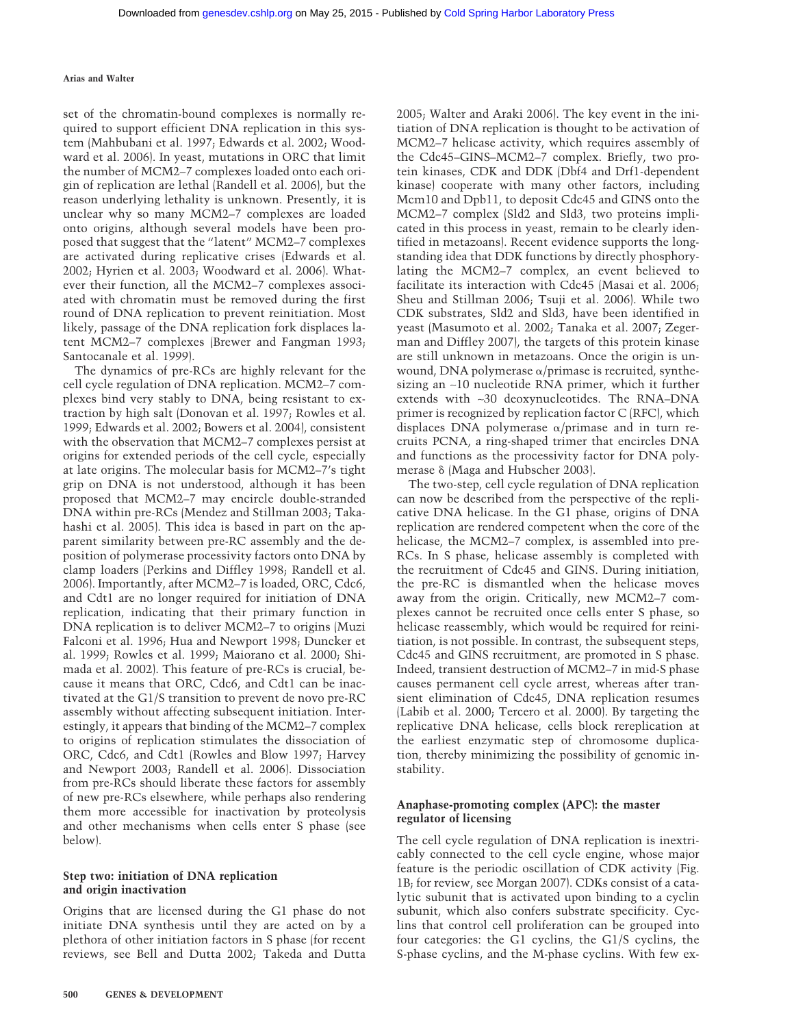set of the chromatin-bound complexes is normally required to support efficient DNA replication in this system (Mahbubani et al. 1997; Edwards et al. 2002; Woodward et al. 2006). In yeast, mutations in ORC that limit the number of MCM2–7 complexes loaded onto each origin of replication are lethal (Randell et al. 2006), but the reason underlying lethality is unknown. Presently, it is unclear why so many MCM2–7 complexes are loaded onto origins, although several models have been proposed that suggest that the "latent" MCM2–7 complexes are activated during replicative crises (Edwards et al. 2002; Hyrien et al. 2003; Woodward et al. 2006). Whatever their function, all the MCM2–7 complexes associated with chromatin must be removed during the first round of DNA replication to prevent reinitiation. Most likely, passage of the DNA replication fork displaces latent MCM2–7 complexes (Brewer and Fangman 1993; Santocanale et al. 1999).

The dynamics of pre-RCs are highly relevant for the cell cycle regulation of DNA replication. MCM2–7 complexes bind very stably to DNA, being resistant to extraction by high salt (Donovan et al. 1997; Rowles et al. 1999; Edwards et al. 2002; Bowers et al. 2004), consistent with the observation that MCM2–7 complexes persist at origins for extended periods of the cell cycle, especially at late origins. The molecular basis for MCM2–7's tight grip on DNA is not understood, although it has been proposed that MCM2–7 may encircle double-stranded DNA within pre-RCs (Mendez and Stillman 2003; Takahashi et al. 2005). This idea is based in part on the apparent similarity between pre-RC assembly and the deposition of polymerase processivity factors onto DNA by clamp loaders (Perkins and Diffley 1998; Randell et al. 2006). Importantly, after MCM2–7 is loaded, ORC, Cdc6, and Cdt1 are no longer required for initiation of DNA replication, indicating that their primary function in DNA replication is to deliver MCM2–7 to origins (Muzi Falconi et al. 1996; Hua and Newport 1998; Duncker et al. 1999; Rowles et al. 1999; Maiorano et al. 2000; Shimada et al. 2002). This feature of pre-RCs is crucial, because it means that ORC, Cdc6, and Cdt1 can be inactivated at the G1/S transition to prevent de novo pre-RC assembly without affecting subsequent initiation. Interestingly, it appears that binding of the MCM2–7 complex to origins of replication stimulates the dissociation of ORC, Cdc6, and Cdt1 (Rowles and Blow 1997; Harvey and Newport 2003; Randell et al. 2006). Dissociation from pre-RCs should liberate these factors for assembly of new pre-RCs elsewhere, while perhaps also rendering them more accessible for inactivation by proteolysis and other mechanisms when cells enter S phase (see below).

# **Step two: initiation of DNA replication and origin inactivation**

Origins that are licensed during the G1 phase do not initiate DNA synthesis until they are acted on by a plethora of other initiation factors in S phase (for recent reviews, see Bell and Dutta 2002; Takeda and Dutta 2005; Walter and Araki 2006). The key event in the initiation of DNA replication is thought to be activation of MCM2–7 helicase activity, which requires assembly of the Cdc45–GINS–MCM2–7 complex. Briefly, two protein kinases, CDK and DDK (Dbf4 and Drf1-dependent kinase) cooperate with many other factors, including Mcm10 and Dpb11, to deposit Cdc45 and GINS onto the MCM2–7 complex (Sld2 and Sld3, two proteins implicated in this process in yeast, remain to be clearly identified in metazoans). Recent evidence supports the longstanding idea that DDK functions by directly phosphorylating the MCM2–7 complex, an event believed to facilitate its interaction with Cdc45 (Masai et al. 2006; Sheu and Stillman 2006; Tsuji et al. 2006). While two CDK substrates, Sld2 and Sld3, have been identified in yeast (Masumoto et al. 2002; Tanaka et al. 2007; Zegerman and Diffley 2007), the targets of this protein kinase are still unknown in metazoans. Once the origin is unwound, DNA polymerase  $\alpha$ /primase is recruited, synthesizing an ∼10 nucleotide RNA primer, which it further extends with ∼30 deoxynucleotides. The RNA–DNA primer is recognized by replication factor C (RFC), which displaces DNA polymerase  $\alpha$ /primase and in turn recruits PCNA, a ring-shaped trimer that encircles DNA and functions as the processivity factor for DNA polymerase δ (Maga and Hubscher 2003).

The two-step, cell cycle regulation of DNA replication can now be described from the perspective of the replicative DNA helicase. In the G1 phase, origins of DNA replication are rendered competent when the core of the helicase, the MCM2–7 complex, is assembled into pre-RCs. In S phase, helicase assembly is completed with the recruitment of Cdc45 and GINS. During initiation, the pre-RC is dismantled when the helicase moves away from the origin. Critically, new MCM2–7 complexes cannot be recruited once cells enter S phase, so helicase reassembly, which would be required for reinitiation, is not possible. In contrast, the subsequent steps, Cdc45 and GINS recruitment, are promoted in S phase. Indeed, transient destruction of MCM2–7 in mid-S phase causes permanent cell cycle arrest, whereas after transient elimination of Cdc45, DNA replication resumes (Labib et al. 2000; Tercero et al. 2000). By targeting the replicative DNA helicase, cells block rereplication at the earliest enzymatic step of chromosome duplication, thereby minimizing the possibility of genomic instability.

# **Anaphase-promoting complex (APC): the master regulator of licensing**

The cell cycle regulation of DNA replication is inextricably connected to the cell cycle engine, whose major feature is the periodic oscillation of CDK activity (Fig. 1B; for review, see Morgan 2007). CDKs consist of a catalytic subunit that is activated upon binding to a cyclin subunit, which also confers substrate specificity. Cyclins that control cell proliferation can be grouped into four categories: the G1 cyclins, the G1/S cyclins, the S-phase cyclins, and the M-phase cyclins. With few ex-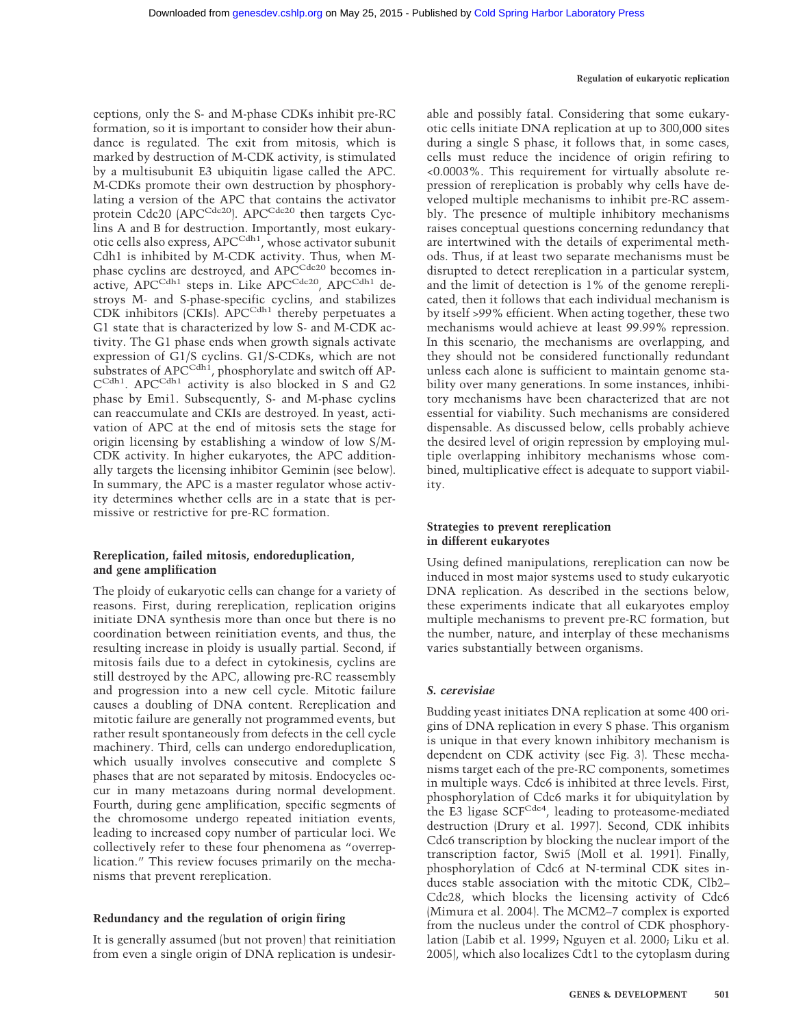ceptions, only the S- and M-phase CDKs inhibit pre-RC formation, so it is important to consider how their abundance is regulated. The exit from mitosis, which is marked by destruction of M-CDK activity, is stimulated by a multisubunit E3 ubiquitin ligase called the APC. M-CDKs promote their own destruction by phosphorylating a version of the APC that contains the activator protein Cdc20 (APCCdc20). APCCdc20 then targets Cyclins A and B for destruction. Importantly, most eukaryotic cells also express, APC<sup>Cdh1</sup>, whose activator subunit Cdh1 is inhibited by M-CDK activity. Thus, when Mphase cyclins are destroyed, and APCCdc20 becomes inactive, APCCdh1 steps in. Like APCCdc20, APCCdh1 destroys M- and S-phase-specific cyclins, and stabilizes CDK inhibitors (CKIs). APCCdh1 thereby perpetuates a G1 state that is characterized by low S- and M-CDK activity. The G1 phase ends when growth signals activate expression of G1/S cyclins. G1/S-CDKs, which are not substrates of APCCdh1, phosphorylate and switch off AP-CCdh1. APCCdh1 activity is also blocked in S and G2 phase by Emi1. Subsequently, S- and M-phase cyclins can reaccumulate and CKIs are destroyed. In yeast, activation of APC at the end of mitosis sets the stage for origin licensing by establishing a window of low S/M-CDK activity. In higher eukaryotes, the APC additionally targets the licensing inhibitor Geminin (see below). In summary, the APC is a master regulator whose activity determines whether cells are in a state that is permissive or restrictive for pre-RC formation.

# **Rereplication, failed mitosis, endoreduplication, and gene amplification**

The ploidy of eukaryotic cells can change for a variety of reasons. First, during rereplication, replication origins initiate DNA synthesis more than once but there is no coordination between reinitiation events, and thus, the resulting increase in ploidy is usually partial. Second, if mitosis fails due to a defect in cytokinesis, cyclins are still destroyed by the APC, allowing pre-RC reassembly and progression into a new cell cycle. Mitotic failure causes a doubling of DNA content. Rereplication and mitotic failure are generally not programmed events, but rather result spontaneously from defects in the cell cycle machinery. Third, cells can undergo endoreduplication, which usually involves consecutive and complete S phases that are not separated by mitosis. Endocycles occur in many metazoans during normal development. Fourth, during gene amplification, specific segments of the chromosome undergo repeated initiation events, leading to increased copy number of particular loci. We collectively refer to these four phenomena as "overreplication." This review focuses primarily on the mechanisms that prevent rereplication.

# **Redundancy and the regulation of origin firing**

It is generally assumed (but not proven) that reinitiation from even a single origin of DNA replication is undesirable and possibly fatal. Considering that some eukaryotic cells initiate DNA replication at up to 300,000 sites during a single S phase, it follows that, in some cases, cells must reduce the incidence of origin refiring to <0.0003%. This requirement for virtually absolute repression of rereplication is probably why cells have developed multiple mechanisms to inhibit pre-RC assembly. The presence of multiple inhibitory mechanisms raises conceptual questions concerning redundancy that are intertwined with the details of experimental methods. Thus, if at least two separate mechanisms must be disrupted to detect rereplication in a particular system, and the limit of detection is 1% of the genome rereplicated, then it follows that each individual mechanism is by itself >99% efficient. When acting together, these two mechanisms would achieve at least 99.99% repression. In this scenario, the mechanisms are overlapping, and they should not be considered functionally redundant unless each alone is sufficient to maintain genome stability over many generations. In some instances, inhibitory mechanisms have been characterized that are not essential for viability. Such mechanisms are considered dispensable. As discussed below, cells probably achieve the desired level of origin repression by employing multiple overlapping inhibitory mechanisms whose combined, multiplicative effect is adequate to support viability.

# **Strategies to prevent rereplication in different eukaryotes**

Using defined manipulations, rereplication can now be induced in most major systems used to study eukaryotic DNA replication. As described in the sections below, these experiments indicate that all eukaryotes employ multiple mechanisms to prevent pre-RC formation, but the number, nature, and interplay of these mechanisms varies substantially between organisms.

# *S. cerevisiae*

Budding yeast initiates DNA replication at some 400 origins of DNA replication in every S phase. This organism is unique in that every known inhibitory mechanism is dependent on CDK activity (see Fig. 3). These mechanisms target each of the pre-RC components, sometimes in multiple ways. Cdc6 is inhibited at three levels. First, phosphorylation of Cdc6 marks it for ubiquitylation by the E3 ligase SCFCdc4, leading to proteasome-mediated destruction (Drury et al. 1997). Second, CDK inhibits Cdc6 transcription by blocking the nuclear import of the transcription factor, Swi5 (Moll et al. 1991). Finally, phosphorylation of Cdc6 at N-terminal CDK sites induces stable association with the mitotic CDK, Clb2– Cdc28, which blocks the licensing activity of Cdc6 (Mimura et al. 2004). The MCM2–7 complex is exported from the nucleus under the control of CDK phosphorylation (Labib et al. 1999; Nguyen et al. 2000; Liku et al. 2005), which also localizes Cdt1 to the cytoplasm during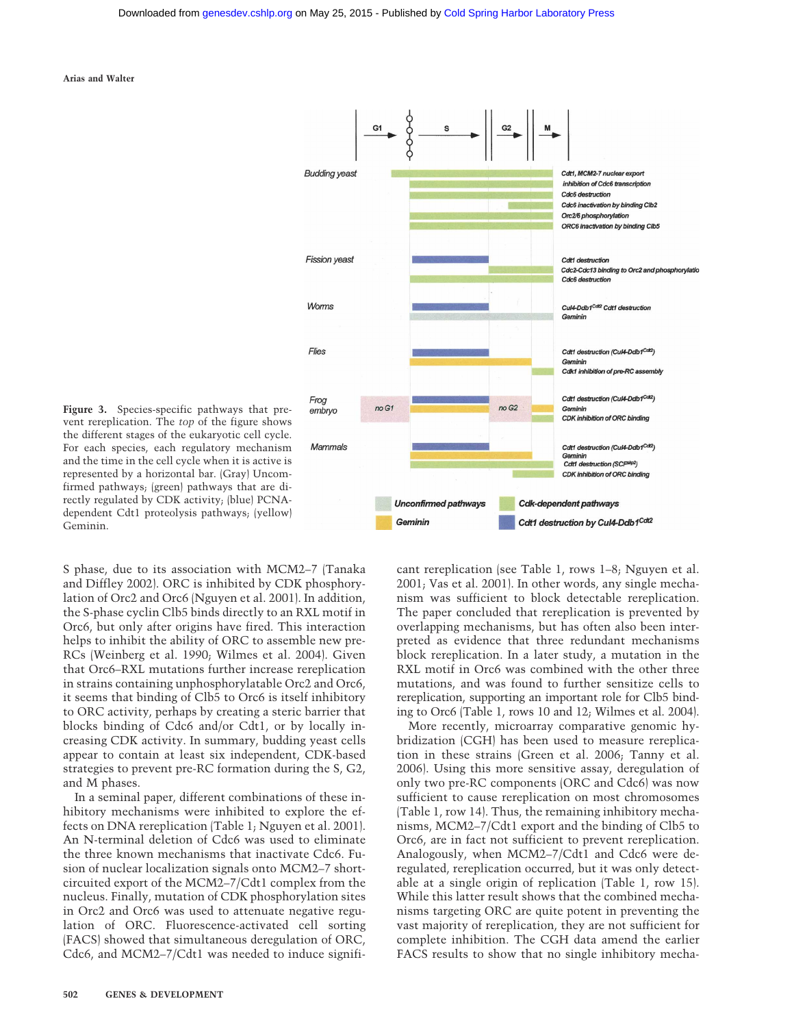**Figure 3.** Species-specific pathways that prevent rereplication. The *top* of the figure shows the different stages of the eukaryotic cell cycle. For each species, each regulatory mechanism and the time in the cell cycle when it is active is represented by a horizontal bar. (Gray) Uncomfirmed pathways; (green) pathways that are directly regulated by CDK activity; (blue) PCNAdependent Cdt1 proteolysis pathways; (yellow) Geminin.

**Budding yeast** Cdt1, MCM2-7 nuclear export inhibition of Cdc6 transcription Cdc6 destruction Cdc6 inactivation by binding Clb2 Orc2/6 phosphorylation ORC6 inactivation by binding Clb5 **Fission yeast** Cdt1 destruction Cdc2-Cdc13 binding to Orc2 and phosphorylatic Colc6 destruction **Worms** Cul4-Ddb1<sup>Cdt2</sup> Cdt1 destruction Geminin Flies Cdt1 destruction (Cul4-Ddb1Cd2) Geminin Cdk1 inhibition of pre-RC assembly Cdt1 destruction (Cul4-Ddb1<sup>Cd2</sup>) Frog  $noG1$  $noG2$ Geminin embryc CDK inhibition of ORC binding Mammals Cdt1 destruction (Cul4-Ddb1<sup>Cdt2</sup>) Geminin Cdt1 destruction (SCFskp2) CDK inhibition of ORC binding **Unconfirmed pathways** Cdk-dependent pathways Cdt1 destruction by Cul4-Ddb1Cdt2 Geminin

S phase, due to its association with MCM2–7 (Tanaka and Diffley 2002). ORC is inhibited by CDK phosphorylation of Orc2 and Orc6 (Nguyen et al. 2001). In addition, the S-phase cyclin Clb5 binds directly to an RXL motif in Orc6, but only after origins have fired. This interaction helps to inhibit the ability of ORC to assemble new pre-RCs (Weinberg et al. 1990; Wilmes et al. 2004). Given that Orc6–RXL mutations further increase rereplication in strains containing unphosphorylatable Orc2 and Orc6, it seems that binding of Clb5 to Orc6 is itself inhibitory to ORC activity, perhaps by creating a steric barrier that blocks binding of Cdc6 and/or Cdt1, or by locally increasing CDK activity. In summary, budding yeast cells appear to contain at least six independent, CDK-based strategies to prevent pre-RC formation during the S, G2, and M phases.

In a seminal paper, different combinations of these inhibitory mechanisms were inhibited to explore the effects on DNA rereplication (Table 1; Nguyen et al. 2001). An N-terminal deletion of Cdc6 was used to eliminate the three known mechanisms that inactivate Cdc6. Fusion of nuclear localization signals onto MCM2–7 shortcircuited export of the MCM2–7/Cdt1 complex from the nucleus. Finally, mutation of CDK phosphorylation sites in Orc2 and Orc6 was used to attenuate negative regulation of ORC. Fluorescence-activated cell sorting (FACS) showed that simultaneous deregulation of ORC, Cdc6, and MCM2–7/Cdt1 was needed to induce significant rereplication (see Table 1, rows 1–8; Nguyen et al. 2001; Vas et al. 2001). In other words, any single mechanism was sufficient to block detectable rereplication. The paper concluded that rereplication is prevented by overlapping mechanisms, but has often also been interpreted as evidence that three redundant mechanisms block rereplication. In a later study, a mutation in the RXL motif in Orc6 was combined with the other three mutations, and was found to further sensitize cells to rereplication, supporting an important role for Clb5 binding to Orc6 (Table 1, rows 10 and 12; Wilmes et al. 2004).

More recently, microarray comparative genomic hybridization (CGH) has been used to measure rereplication in these strains (Green et al. 2006; Tanny et al. 2006). Using this more sensitive assay, deregulation of only two pre-RC components (ORC and Cdc6) was now sufficient to cause rereplication on most chromosomes (Table 1, row 14). Thus, the remaining inhibitory mechanisms, MCM2–7/Cdt1 export and the binding of Clb5 to Orc6, are in fact not sufficient to prevent rereplication. Analogously, when MCM2–7/Cdt1 and Cdc6 were deregulated, rereplication occurred, but it was only detectable at a single origin of replication (Table 1, row 15). While this latter result shows that the combined mechanisms targeting ORC are quite potent in preventing the vast majority of rereplication, they are not sufficient for complete inhibition. The CGH data amend the earlier FACS results to show that no single inhibitory mecha-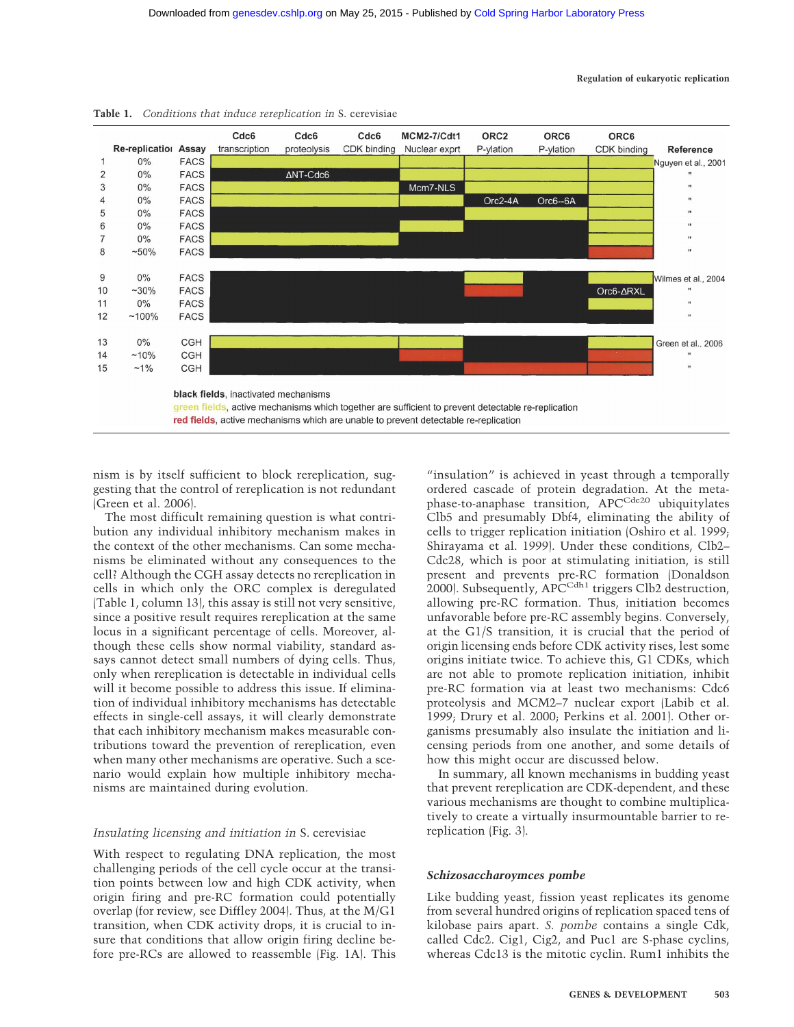

**Table 1.** *Conditions that induce rereplication in* S. cerevisiae

nism is by itself sufficient to block rereplication, suggesting that the control of rereplication is not redundant (Green et al. 2006).

The most difficult remaining question is what contribution any individual inhibitory mechanism makes in the context of the other mechanisms. Can some mechanisms be eliminated without any consequences to the cell? Although the CGH assay detects no rereplication in cells in which only the ORC complex is deregulated (Table 1, column 13), this assay is still not very sensitive, since a positive result requires rereplication at the same locus in a significant percentage of cells. Moreover, although these cells show normal viability, standard assays cannot detect small numbers of dying cells. Thus, only when rereplication is detectable in individual cells will it become possible to address this issue. If elimination of individual inhibitory mechanisms has detectable effects in single-cell assays, it will clearly demonstrate that each inhibitory mechanism makes measurable contributions toward the prevention of rereplication, even when many other mechanisms are operative. Such a scenario would explain how multiple inhibitory mechanisms are maintained during evolution.

#### *Insulating licensing and initiation in* S. cerevisiae

With respect to regulating DNA replication, the most challenging periods of the cell cycle occur at the transition points between low and high CDK activity, when origin firing and pre-RC formation could potentially overlap (for review, see Diffley 2004). Thus, at the M/G1 transition, when CDK activity drops, it is crucial to insure that conditions that allow origin firing decline before pre-RCs are allowed to reassemble (Fig. 1A). This "insulation" is achieved in yeast through a temporally ordered cascade of protein degradation. At the metaphase-to-anaphase transition, APCCdc20 ubiquitylates Clb5 and presumably Dbf4, eliminating the ability of cells to trigger replication initiation (Oshiro et al. 1999; Shirayama et al. 1999). Under these conditions, Clb2– Cdc28, which is poor at stimulating initiation, is still present and prevents pre-RC formation (Donaldson 2000). Subsequently, APCCdh1 triggers Clb2 destruction, allowing pre-RC formation. Thus, initiation becomes unfavorable before pre-RC assembly begins. Conversely, at the G1/S transition, it is crucial that the period of origin licensing ends before CDK activity rises, lest some origins initiate twice. To achieve this, G1 CDKs, which are not able to promote replication initiation, inhibit pre-RC formation via at least two mechanisms: Cdc6 proteolysis and MCM2–7 nuclear export (Labib et al. 1999; Drury et al. 2000; Perkins et al. 2001). Other organisms presumably also insulate the initiation and licensing periods from one another, and some details of how this might occur are discussed below.

In summary, all known mechanisms in budding yeast that prevent rereplication are CDK-dependent, and these various mechanisms are thought to combine multiplicatively to create a virtually insurmountable barrier to rereplication (Fig. 3).

#### *Schizosaccharoymces pombe*

Like budding yeast, fission yeast replicates its genome from several hundred origins of replication spaced tens of kilobase pairs apart. *S. pombe* contains a single Cdk, called Cdc2. Cig1, Cig2, and Puc1 are S-phase cyclins, whereas Cdc13 is the mitotic cyclin. Rum1 inhibits the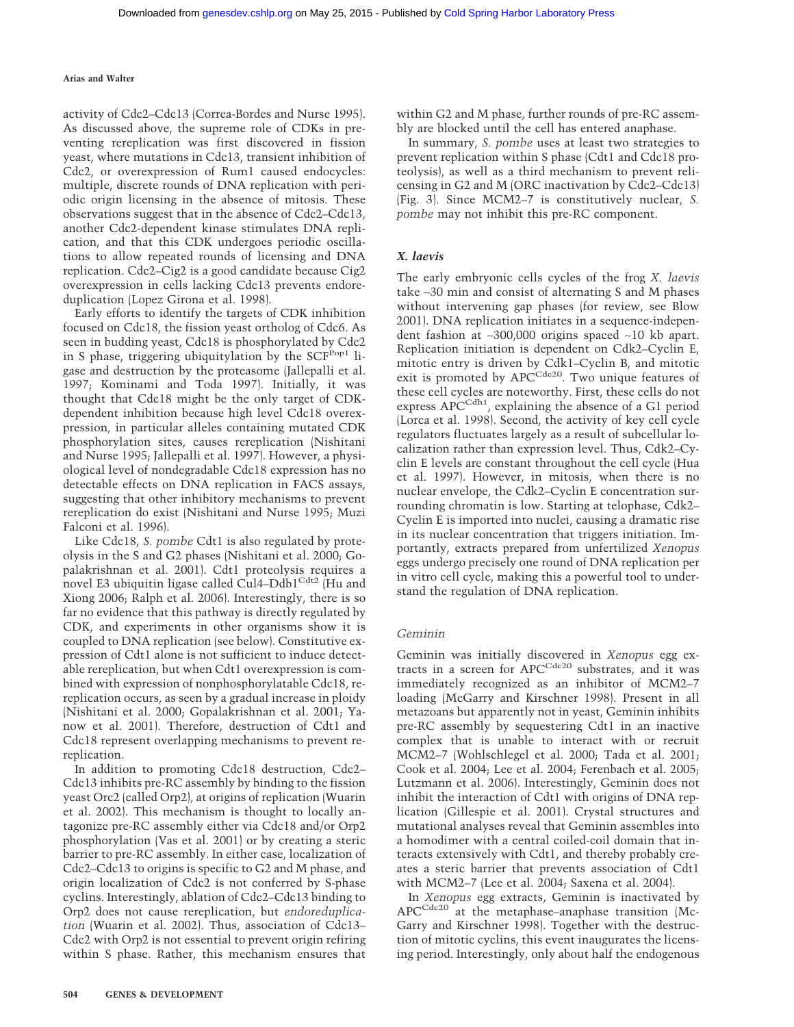activity of Cdc2–Cdc13 (Correa-Bordes and Nurse 1995). As discussed above, the supreme role of CDKs in preventing rereplication was first discovered in fission yeast, where mutations in Cdc13, transient inhibition of Cdc2, or overexpression of Rum1 caused endocycles: multiple, discrete rounds of DNA replication with periodic origin licensing in the absence of mitosis. These observations suggest that in the absence of Cdc2–Cdc13, another Cdc2-dependent kinase stimulates DNA replication, and that this CDK undergoes periodic oscillations to allow repeated rounds of licensing and DNA replication. Cdc2–Cig2 is a good candidate because Cig2 overexpression in cells lacking Cdc13 prevents endoreduplication (Lopez Girona et al. 1998).

Early efforts to identify the targets of CDK inhibition focused on Cdc18, the fission yeast ortholog of Cdc6. As seen in budding yeast, Cdc18 is phosphorylated by Cdc2 in S phase, triggering ubiquitylation by the  $SCF<sup>Pop1</sup>$  ligase and destruction by the proteasome (Jallepalli et al. 1997; Kominami and Toda 1997). Initially, it was thought that Cdc18 might be the only target of CDKdependent inhibition because high level Cdc18 overexpression, in particular alleles containing mutated CDK phosphorylation sites, causes rereplication (Nishitani and Nurse 1995; Jallepalli et al. 1997). However, a physiological level of nondegradable Cdc18 expression has no detectable effects on DNA replication in FACS assays, suggesting that other inhibitory mechanisms to prevent rereplication do exist (Nishitani and Nurse 1995; Muzi Falconi et al. 1996).

Like Cdc18, *S. pombe* Cdt1 is also regulated by proteolysis in the S and G2 phases (Nishitani et al. 2000; Gopalakrishnan et al. 2001). Cdt1 proteolysis requires a novel E3 ubiquitin ligase called Cul4-Ddb1<sup>Cdt2</sup> (Hu and Xiong 2006; Ralph et al. 2006). Interestingly, there is so far no evidence that this pathway is directly regulated by CDK, and experiments in other organisms show it is coupled to DNA replication (see below). Constitutive expression of Cdt1 alone is not sufficient to induce detectable rereplication, but when Cdt1 overexpression is combined with expression of nonphosphorylatable Cdc18, rereplication occurs, as seen by a gradual increase in ploidy (Nishitani et al. 2000; Gopalakrishnan et al. 2001; Yanow et al. 2001). Therefore, destruction of Cdt1 and Cdc18 represent overlapping mechanisms to prevent rereplication.

In addition to promoting Cdc18 destruction, Cdc2– Cdc13 inhibits pre-RC assembly by binding to the fission yeast Orc2 (called Orp2), at origins of replication (Wuarin et al. 2002). This mechanism is thought to locally antagonize pre-RC assembly either via Cdc18 and/or Orp2 phosphorylation (Vas et al. 2001) or by creating a steric barrier to pre-RC assembly. In either case, localization of Cdc2–Cdc13 to origins is specific to G2 and M phase, and origin localization of Cdc2 is not conferred by S-phase cyclins. Interestingly, ablation of Cdc2–Cdc13 binding to Orp2 does not cause rereplication, but *endoreduplication* (Wuarin et al. 2002). Thus, association of Cdc13– Cdc2 with Orp2 is not essential to prevent origin refiring within S phase. Rather, this mechanism ensures that

within G2 and M phase, further rounds of pre-RC assembly are blocked until the cell has entered anaphase.

In summary, *S. pombe* uses at least two strategies to prevent replication within S phase (Cdt1 and Cdc18 proteolysis), as well as a third mechanism to prevent relicensing in G2 and M (ORC inactivation by Cdc2–Cdc13) (Fig. 3). Since MCM2–7 is constitutively nuclear, *S. pombe* may not inhibit this pre-RC component.

# *X. laevis*

The early embryonic cells cycles of the frog *X. laevis* take ∼30 min and consist of alternating S and M phases without intervening gap phases (for review, see Blow 2001). DNA replication initiates in a sequence-independent fashion at ∼300,000 origins spaced ∼10 kb apart. Replication initiation is dependent on Cdk2–Cyclin E, mitotic entry is driven by Cdk1–Cyclin B, and mitotic exit is promoted by APCCdc20. Two unique features of these cell cycles are noteworthy. First, these cells do not express APCCdh1, explaining the absence of a G1 period (Lorca et al. 1998). Second, the activity of key cell cycle regulators fluctuates largely as a result of subcellular localization rather than expression level. Thus, Cdk2–Cyclin E levels are constant throughout the cell cycle (Hua et al. 1997). However, in mitosis, when there is no nuclear envelope, the Cdk2–Cyclin E concentration surrounding chromatin is low. Starting at telophase, Cdk2– Cyclin E is imported into nuclei, causing a dramatic rise in its nuclear concentration that triggers initiation. Importantly, extracts prepared from unfertilized *Xenopus* eggs undergo precisely one round of DNA replication per in vitro cell cycle, making this a powerful tool to understand the regulation of DNA replication.

# *Geminin*

Geminin was initially discovered in *Xenopus* egg extracts in a screen for APCCdc20 substrates, and it was immediately recognized as an inhibitor of MCM2–7 loading (McGarry and Kirschner 1998). Present in all metazoans but apparently not in yeast, Geminin inhibits pre-RC assembly by sequestering Cdt1 in an inactive complex that is unable to interact with or recruit MCM2–7 (Wohlschlegel et al. 2000; Tada et al. 2001; Cook et al. 2004; Lee et al. 2004; Ferenbach et al. 2005; Lutzmann et al. 2006). Interestingly, Geminin does not inhibit the interaction of Cdt1 with origins of DNA replication (Gillespie et al. 2001). Crystal structures and mutational analyses reveal that Geminin assembles into a homodimer with a central coiled-coil domain that interacts extensively with Cdt1, and thereby probably creates a steric barrier that prevents association of Cdt1 with MCM2–7 (Lee et al. 2004; Saxena et al. 2004).

In *Xenopus* egg extracts, Geminin is inactivated by APCCdc20 at the metaphase-anaphase transition (Mc-Garry and Kirschner 1998). Together with the destruction of mitotic cyclins, this event inaugurates the licensing period. Interestingly, only about half the endogenous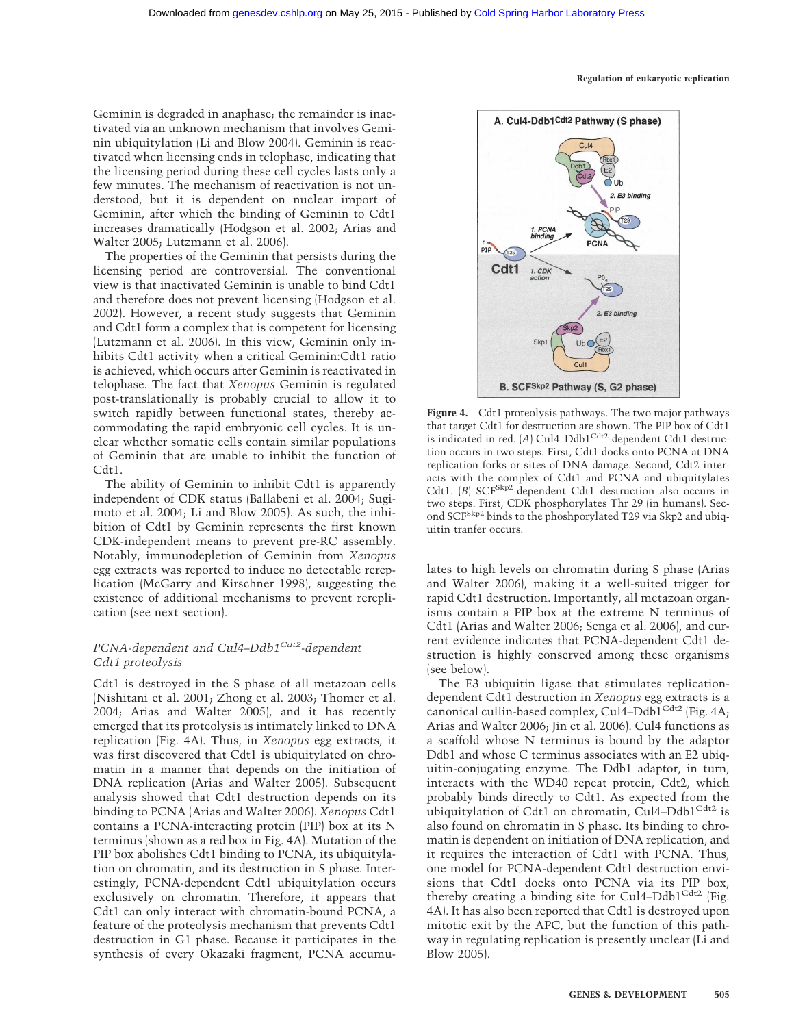Geminin is degraded in anaphase; the remainder is inactivated via an unknown mechanism that involves Geminin ubiquitylation (Li and Blow 2004). Geminin is reactivated when licensing ends in telophase, indicating that the licensing period during these cell cycles lasts only a few minutes. The mechanism of reactivation is not understood, but it is dependent on nuclear import of Geminin, after which the binding of Geminin to Cdt1 increases dramatically (Hodgson et al. 2002; Arias and Walter 2005; Lutzmann et al. 2006).

The properties of the Geminin that persists during the licensing period are controversial. The conventional view is that inactivated Geminin is unable to bind Cdt1 and therefore does not prevent licensing (Hodgson et al. 2002). However, a recent study suggests that Geminin and Cdt1 form a complex that is competent for licensing (Lutzmann et al. 2006). In this view, Geminin only inhibits Cdt1 activity when a critical Geminin:Cdt1 ratio is achieved, which occurs after Geminin is reactivated in telophase. The fact that *Xenopus* Geminin is regulated post-translationally is probably crucial to allow it to switch rapidly between functional states, thereby accommodating the rapid embryonic cell cycles. It is unclear whether somatic cells contain similar populations of Geminin that are unable to inhibit the function of Cdt1.

The ability of Geminin to inhibit Cdt1 is apparently independent of CDK status (Ballabeni et al. 2004; Sugimoto et al. 2004; Li and Blow 2005). As such, the inhibition of Cdt1 by Geminin represents the first known CDK-independent means to prevent pre-RC assembly. Notably, immunodepletion of Geminin from *Xenopus* egg extracts was reported to induce no detectable rereplication (McGarry and Kirschner 1998), suggesting the existence of additional mechanisms to prevent rereplication (see next section).

# *PCNA-dependent and Cul4–Ddb1Cdt2-dependent Cdt1 proteolysis*

Cdt1 is destroyed in the S phase of all metazoan cells (Nishitani et al. 2001; Zhong et al. 2003; Thomer et al. 2004; Arias and Walter 2005), and it has recently emerged that its proteolysis is intimately linked to DNA replication (Fig. 4A). Thus, in *Xenopus* egg extracts, it was first discovered that Cdt1 is ubiquitylated on chromatin in a manner that depends on the initiation of DNA replication (Arias and Walter 2005). Subsequent analysis showed that Cdt1 destruction depends on its binding to PCNA (Arias and Walter 2006). *Xenopus* Cdt1 contains a PCNA-interacting protein (PIP) box at its N terminus (shown as a red box in Fig. 4A). Mutation of the PIP box abolishes Cdt1 binding to PCNA, its ubiquitylation on chromatin, and its destruction in S phase. Interestingly, PCNA-dependent Cdt1 ubiquitylation occurs exclusively on chromatin. Therefore, it appears that Cdt1 can only interact with chromatin-bound PCNA, a feature of the proteolysis mechanism that prevents Cdt1 destruction in G1 phase. Because it participates in the synthesis of every Okazaki fragment, PCNA accumu-



**Figure 4.** Cdt1 proteolysis pathways. The two major pathways that target Cdt1 for destruction are shown. The PIP box of Cdt1 is indicated in red. (A) Cul4–Ddb1<sup>Cdt2</sup>-dependent Cdt1 destruction occurs in two steps. First, Cdt1 docks onto PCNA at DNA replication forks or sites of DNA damage. Second, Cdt2 interacts with the complex of Cdt1 and PCNA and ubiquitylates Cdt1. (*B*) SCF<sup>Skp2</sup>-dependent Cdt1 destruction also occurs in two steps. First, CDK phosphorylates Thr 29 (in humans). Second SCF<sup>Skp2</sup> binds to the phoshporylated T29 via Skp2 and ubiquitin tranfer occurs.

lates to high levels on chromatin during S phase (Arias and Walter 2006), making it a well-suited trigger for rapid Cdt1 destruction. Importantly, all metazoan organisms contain a PIP box at the extreme N terminus of Cdt1 (Arias and Walter 2006; Senga et al. 2006), and current evidence indicates that PCNA-dependent Cdt1 destruction is highly conserved among these organisms (see below).

The E3 ubiquitin ligase that stimulates replicationdependent Cdt1 destruction in *Xenopus* egg extracts is a canonical cullin-based complex, Cul4–Ddb1<sup>Cdt2</sup> (Fig. 4A; Arias and Walter 2006; Jin et al. 2006). Cul4 functions as a scaffold whose N terminus is bound by the adaptor Ddb1 and whose C terminus associates with an E2 ubiquitin-conjugating enzyme. The Ddb1 adaptor, in turn, interacts with the WD40 repeat protein, Cdt2, which probably binds directly to Cdt1. As expected from the ubiquitylation of Cdt1 on chromatin, Cul4–Ddb1<sup>Cdt2</sup> is also found on chromatin in S phase. Its binding to chromatin is dependent on initiation of DNA replication, and it requires the interaction of Cdt1 with PCNA. Thus, one model for PCNA-dependent Cdt1 destruction envisions that Cdt1 docks onto PCNA via its PIP box, thereby creating a binding site for Cul4-Ddb1<sup>Cdt2</sup> (Fig. 4A). It has also been reported that Cdt1 is destroyed upon mitotic exit by the APC, but the function of this pathway in regulating replication is presently unclear (Li and Blow 2005).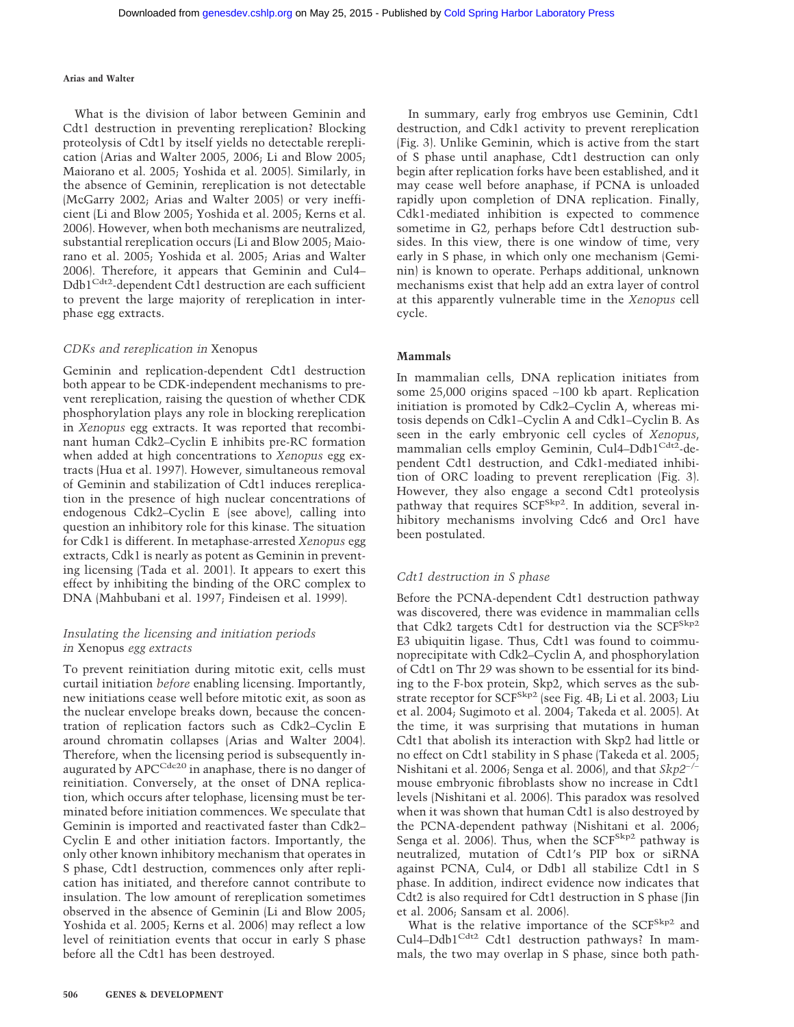What is the division of labor between Geminin and Cdt1 destruction in preventing rereplication? Blocking proteolysis of Cdt1 by itself yields no detectable rereplication (Arias and Walter 2005, 2006; Li and Blow 2005; Maiorano et al. 2005; Yoshida et al. 2005). Similarly, in the absence of Geminin, rereplication is not detectable (McGarry 2002; Arias and Walter 2005) or very inefficient (Li and Blow 2005; Yoshida et al. 2005; Kerns et al. 2006). However, when both mechanisms are neutralized, substantial rereplication occurs (Li and Blow 2005; Maiorano et al. 2005; Yoshida et al. 2005; Arias and Walter 2006). Therefore, it appears that Geminin and Cul4– Ddb1<sup>Cdt2</sup>-dependent Cdt1 destruction are each sufficient to prevent the large majority of rereplication in interphase egg extracts.

#### *CDKs and rereplication in* Xenopus

Geminin and replication-dependent Cdt1 destruction both appear to be CDK-independent mechanisms to prevent rereplication, raising the question of whether CDK phosphorylation plays any role in blocking rereplication in *Xenopus* egg extracts. It was reported that recombinant human Cdk2–Cyclin E inhibits pre-RC formation when added at high concentrations to *Xenopus* egg extracts (Hua et al. 1997). However, simultaneous removal of Geminin and stabilization of Cdt1 induces rereplication in the presence of high nuclear concentrations of endogenous Cdk2–Cyclin E (see above), calling into question an inhibitory role for this kinase. The situation for Cdk1 is different. In metaphase-arrested *Xenopus* egg extracts, Cdk1 is nearly as potent as Geminin in preventing licensing (Tada et al. 2001). It appears to exert this effect by inhibiting the binding of the ORC complex to DNA (Mahbubani et al. 1997; Findeisen et al. 1999).

# *Insulating the licensing and initiation periods in* Xenopus *egg extracts*

To prevent reinitiation during mitotic exit, cells must curtail initiation *before* enabling licensing. Importantly, new initiations cease well before mitotic exit, as soon as the nuclear envelope breaks down, because the concentration of replication factors such as Cdk2–Cyclin E around chromatin collapses (Arias and Walter 2004). Therefore, when the licensing period is subsequently inaugurated by  $APC^{Cdc20}$  in anaphase, there is no danger of reinitiation. Conversely, at the onset of DNA replication, which occurs after telophase, licensing must be terminated before initiation commences. We speculate that Geminin is imported and reactivated faster than Cdk2– Cyclin E and other initiation factors. Importantly, the only other known inhibitory mechanism that operates in S phase, Cdt1 destruction, commences only after replication has initiated, and therefore cannot contribute to insulation. The low amount of rereplication sometimes observed in the absence of Geminin (Li and Blow 2005; Yoshida et al. 2005; Kerns et al. 2006) may reflect a low level of reinitiation events that occur in early S phase before all the Cdt1 has been destroyed.

In summary, early frog embryos use Geminin, Cdt1 destruction, and Cdk1 activity to prevent rereplication (Fig. 3). Unlike Geminin, which is active from the start of S phase until anaphase, Cdt1 destruction can only begin after replication forks have been established, and it may cease well before anaphase, if PCNA is unloaded rapidly upon completion of DNA replication. Finally, Cdk1-mediated inhibition is expected to commence sometime in G2, perhaps before Cdt1 destruction subsides. In this view, there is one window of time, very early in S phase, in which only one mechanism (Geminin) is known to operate. Perhaps additional, unknown mechanisms exist that help add an extra layer of control at this apparently vulnerable time in the *Xenopus* cell cycle.

# **Mammals**

In mammalian cells, DNA replication initiates from some 25,000 origins spaced ∼100 kb apart. Replication initiation is promoted by Cdk2–Cyclin A, whereas mitosis depends on Cdk1–Cyclin A and Cdk1–Cyclin B. As seen in the early embryonic cell cycles of *Xenopus*, mammalian cells employ Geminin, Cul4–Ddb1<sup>Cdt2</sup>-dependent Cdt1 destruction, and Cdk1-mediated inhibition of ORC loading to prevent rereplication (Fig. 3). However, they also engage a second Cdt1 proteolysis pathway that requires SCF<sup>Skp2</sup>. In addition, several inhibitory mechanisms involving Cdc6 and Orc1 have been postulated.

# *Cdt1 destruction in S phase*

Before the PCNA-dependent Cdt1 destruction pathway was discovered, there was evidence in mammalian cells that Cdk2 targets Cdt1 for destruction via the SCF<sup>Skp2</sup> E3 ubiquitin ligase. Thus, Cdt1 was found to coimmunoprecipitate with Cdk2–Cyclin A, and phosphorylation of Cdt1 on Thr 29 was shown to be essential for its binding to the F-box protein, Skp2, which serves as the substrate receptor for SCFSkp2 (see Fig. 4B; Li et al. 2003; Liu et al. 2004; Sugimoto et al. 2004; Takeda et al. 2005). At the time, it was surprising that mutations in human Cdt1 that abolish its interaction with Skp2 had little or no effect on Cdt1 stability in S phase (Takeda et al. 2005; Nishitani et al. 2006; Senga et al. 2006), and that *Skp2−/−* mouse embryonic fibroblasts show no increase in Cdt1 levels (Nishitani et al. 2006). This paradox was resolved when it was shown that human Cdt1 is also destroyed by the PCNA-dependent pathway (Nishitani et al. 2006; Senga et al. 2006). Thus, when the SCF<sup>Skp2</sup> pathway is neutralized, mutation of Cdt1's PIP box or siRNA against PCNA, Cul4, or Ddb1 all stabilize Cdt1 in S phase. In addition, indirect evidence now indicates that Cdt2 is also required for Cdt1 destruction in S phase (Jin et al. 2006; Sansam et al. 2006).

What is the relative importance of the SCF<sup>Skp2</sup> and Cul4-Ddb1<sup>Cdt2</sup> Cdt1 destruction pathways? In mammals, the two may overlap in S phase, since both path-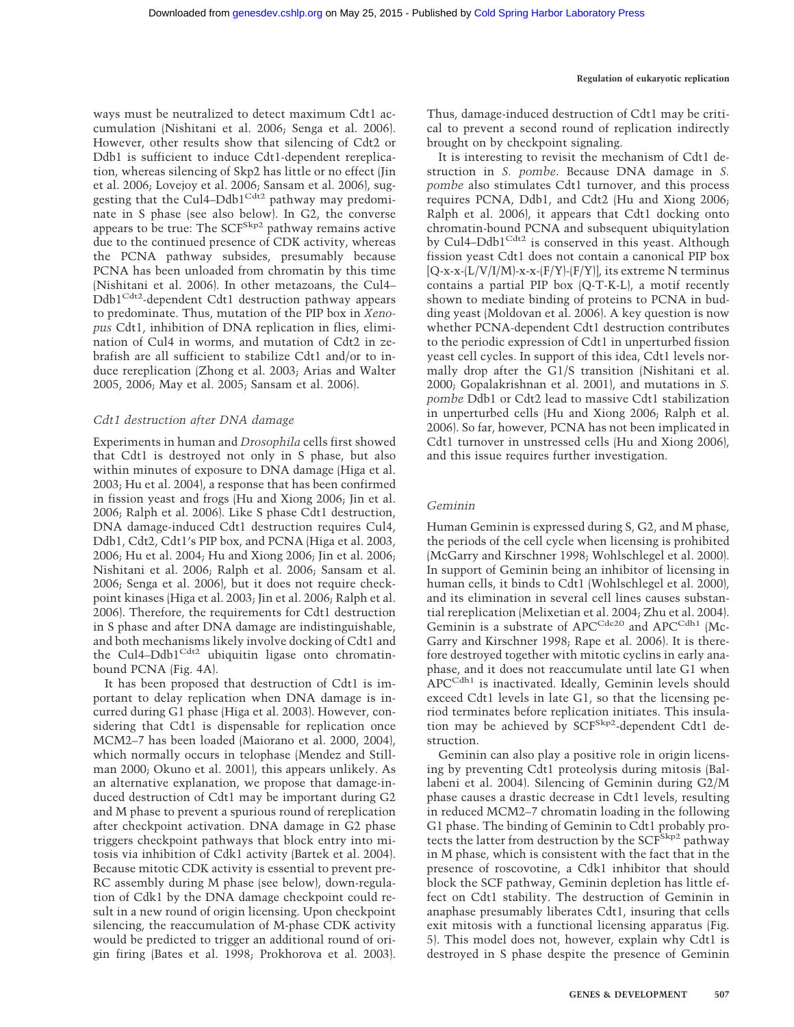ways must be neutralized to detect maximum Cdt1 accumulation (Nishitani et al. 2006; Senga et al. 2006). However, other results show that silencing of Cdt2 or Ddb1 is sufficient to induce Cdt1-dependent rereplication, whereas silencing of Skp2 has little or no effect (Jin et al. 2006; Lovejoy et al. 2006; Sansam et al. 2006), suggesting that the Cul4-Ddb1<sup>Cdt2</sup> pathway may predominate in S phase (see also below). In G2, the converse appears to be true: The SCF<sup>Skp2</sup> pathway remains active due to the continued presence of CDK activity, whereas the PCNA pathway subsides, presumably because PCNA has been unloaded from chromatin by this time (Nishitani et al. 2006). In other metazoans, the Cul4– Ddb1<sup>Cdt2</sup>-dependent Cdt1 destruction pathway appears to predominate. Thus, mutation of the PIP box in *Xenopus* Cdt1, inhibition of DNA replication in flies, elimination of Cul4 in worms, and mutation of Cdt2 in zebrafish are all sufficient to stabilize Cdt1 and/or to induce rereplication (Zhong et al. 2003; Arias and Walter 2005, 2006; May et al. 2005; Sansam et al. 2006).

# *Cdt1 destruction after DNA damage*

Experiments in human and *Drosophila* cells first showed that Cdt1 is destroyed not only in S phase, but also within minutes of exposure to DNA damage (Higa et al. 2003; Hu et al. 2004), a response that has been confirmed in fission yeast and frogs (Hu and Xiong 2006; Jin et al. 2006; Ralph et al. 2006). Like S phase Cdt1 destruction, DNA damage-induced Cdt1 destruction requires Cul4, Ddb1, Cdt2, Cdt1's PIP box, and PCNA (Higa et al. 2003, 2006; Hu et al. 2004; Hu and Xiong 2006; Jin et al. 2006; Nishitani et al. 2006; Ralph et al. 2006; Sansam et al. 2006; Senga et al. 2006), but it does not require checkpoint kinases (Higa et al. 2003; Jin et al. 2006; Ralph et al. 2006). Therefore, the requirements for Cdt1 destruction in S phase and after DNA damage are indistinguishable, and both mechanisms likely involve docking of Cdt1 and the Cul4-Ddb1<sup>Cdt2</sup> ubiquitin ligase onto chromatinbound PCNA (Fig. 4A).

It has been proposed that destruction of Cdt1 is important to delay replication when DNA damage is incurred during G1 phase (Higa et al. 2003). However, considering that Cdt1 is dispensable for replication once MCM2–7 has been loaded (Maiorano et al. 2000, 2004), which normally occurs in telophase (Mendez and Stillman 2000; Okuno et al. 2001), this appears unlikely. As an alternative explanation, we propose that damage-induced destruction of Cdt1 may be important during G2 and M phase to prevent a spurious round of rereplication after checkpoint activation. DNA damage in G2 phase triggers checkpoint pathways that block entry into mitosis via inhibition of Cdk1 activity (Bartek et al. 2004). Because mitotic CDK activity is essential to prevent pre-RC assembly during M phase (see below), down-regulation of Cdk1 by the DNA damage checkpoint could result in a new round of origin licensing. Upon checkpoint silencing, the reaccumulation of M-phase CDK activity would be predicted to trigger an additional round of origin firing (Bates et al. 1998; Prokhorova et al. 2003). Thus, damage-induced destruction of Cdt1 may be critical to prevent a second round of replication indirectly brought on by checkpoint signaling.

It is interesting to revisit the mechanism of Cdt1 destruction in *S. pombe*. Because DNA damage in *S. pombe* also stimulates Cdt1 turnover, and this process requires PCNA, Ddb1, and Cdt2 (Hu and Xiong 2006; Ralph et al. 2006), it appears that Cdt1 docking onto chromatin-bound PCNA and subsequent ubiquitylation by Cul4-Ddb1<sup>Cdt2</sup> is conserved in this yeast. Although fission yeast Cdt1 does not contain a canonical PIP box  $[Q-x-x-(L/V/I/M)-x-x-(F/Y)-(F/Y)]$ , its extreme N terminus contains a partial PIP box (Q-T-K-L), a motif recently shown to mediate binding of proteins to PCNA in budding yeast (Moldovan et al. 2006). A key question is now whether PCNA-dependent Cdt1 destruction contributes to the periodic expression of Cdt1 in unperturbed fission yeast cell cycles. In support of this idea, Cdt1 levels normally drop after the G1/S transition (Nishitani et al. 2000; Gopalakrishnan et al. 2001), and mutations in *S. pombe* Ddb1 or Cdt2 lead to massive Cdt1 stabilization in unperturbed cells (Hu and Xiong 2006; Ralph et al. 2006). So far, however, PCNA has not been implicated in Cdt1 turnover in unstressed cells (Hu and Xiong 2006), and this issue requires further investigation.

# *Geminin*

Human Geminin is expressed during S, G2, and M phase, the periods of the cell cycle when licensing is prohibited (McGarry and Kirschner 1998; Wohlschlegel et al. 2000). In support of Geminin being an inhibitor of licensing in human cells, it binds to Cdt1 (Wohlschlegel et al. 2000), and its elimination in several cell lines causes substantial rereplication (Melixetian et al. 2004; Zhu et al. 2004). Geminin is a substrate of APCCdc20 and APCCdh1 (Mc-Garry and Kirschner 1998; Rape et al. 2006). It is therefore destroyed together with mitotic cyclins in early anaphase, and it does not reaccumulate until late G1 when APCCdh<sub>1</sub> is inactivated. Ideally, Geminin levels should exceed Cdt1 levels in late G1, so that the licensing period terminates before replication initiates. This insulation may be achieved by SCF<sup>Skp2</sup>-dependent Cdt1 destruction.

Geminin can also play a positive role in origin licensing by preventing Cdt1 proteolysis during mitosis (Ballabeni et al. 2004). Silencing of Geminin during G2/M phase causes a drastic decrease in Cdt1 levels, resulting in reduced MCM2–7 chromatin loading in the following G1 phase. The binding of Geminin to Cdt1 probably protects the latter from destruction by the SCF<sup>Skp2</sup> pathway in M phase, which is consistent with the fact that in the presence of roscovotine, a Cdk1 inhibitor that should block the SCF pathway, Geminin depletion has little effect on Cdt1 stability. The destruction of Geminin in anaphase presumably liberates Cdt1, insuring that cells exit mitosis with a functional licensing apparatus (Fig. 5). This model does not, however, explain why Cdt1 is destroyed in S phase despite the presence of Geminin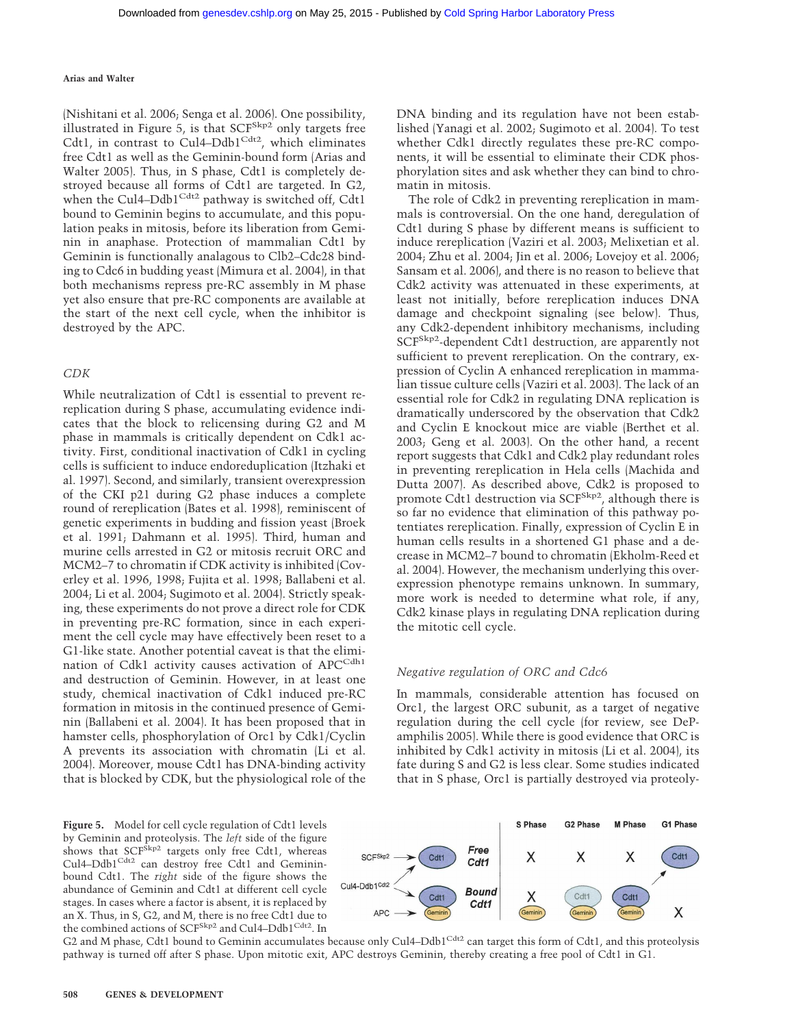(Nishitani et al. 2006; Senga et al. 2006). One possibility, illustrated in Figure 5, is that SCF<sup>Skp2</sup> only targets free Cdt1, in contrast to Cul4-Ddb1<sup>Cdt2</sup>, which eliminates free Cdt1 as well as the Geminin-bound form (Arias and Walter 2005). Thus, in S phase, Cdt1 is completely destroyed because all forms of Cdt1 are targeted. In G2, when the Cul4-Ddb1<sup>Cdt2</sup> pathway is switched off, Cdt1 bound to Geminin begins to accumulate, and this population peaks in mitosis, before its liberation from Geminin in anaphase. Protection of mammalian Cdt1 by Geminin is functionally analagous to Clb2–Cdc28 binding to Cdc6 in budding yeast (Mimura et al. 2004), in that both mechanisms repress pre-RC assembly in M phase yet also ensure that pre-RC components are available at the start of the next cell cycle, when the inhibitor is destroyed by the APC.

# *CDK*

While neutralization of Cdt1 is essential to prevent rereplication during S phase, accumulating evidence indicates that the block to relicensing during G2 and M phase in mammals is critically dependent on Cdk1 activity. First, conditional inactivation of Cdk1 in cycling cells is sufficient to induce endoreduplication (Itzhaki et al. 1997). Second, and similarly, transient overexpression of the CKI p21 during G2 phase induces a complete round of rereplication (Bates et al. 1998), reminiscent of genetic experiments in budding and fission yeast (Broek et al. 1991; Dahmann et al. 1995). Third, human and murine cells arrested in G2 or mitosis recruit ORC and MCM2–7 to chromatin if CDK activity is inhibited (Coverley et al. 1996, 1998; Fujita et al. 1998; Ballabeni et al. 2004; Li et al. 2004; Sugimoto et al. 2004). Strictly speaking, these experiments do not prove a direct role for CDK in preventing pre-RC formation, since in each experiment the cell cycle may have effectively been reset to a G1-like state. Another potential caveat is that the elimination of Cdk1 activity causes activation of APCCdh1 and destruction of Geminin. However, in at least one study, chemical inactivation of Cdk1 induced pre-RC formation in mitosis in the continued presence of Geminin (Ballabeni et al. 2004). It has been proposed that in hamster cells, phosphorylation of Orc1 by Cdk1/Cyclin A prevents its association with chromatin (Li et al. 2004). Moreover, mouse Cdt1 has DNA-binding activity that is blocked by CDK, but the physiological role of the DNA binding and its regulation have not been established (Yanagi et al. 2002; Sugimoto et al. 2004). To test whether Cdk1 directly regulates these pre-RC components, it will be essential to eliminate their CDK phosphorylation sites and ask whether they can bind to chromatin in mitosis.

The role of Cdk2 in preventing rereplication in mammals is controversial. On the one hand, deregulation of Cdt1 during S phase by different means is sufficient to induce rereplication (Vaziri et al. 2003; Melixetian et al. 2004; Zhu et al. 2004; Jin et al. 2006; Lovejoy et al. 2006; Sansam et al. 2006), and there is no reason to believe that Cdk2 activity was attenuated in these experiments, at least not initially, before rereplication induces DNA damage and checkpoint signaling (see below). Thus, any Cdk2-dependent inhibitory mechanisms, including SCF<sup>Skp2</sup>-dependent Cdt1 destruction, are apparently not sufficient to prevent rereplication. On the contrary, expression of Cyclin A enhanced rereplication in mammalian tissue culture cells (Vaziri et al. 2003). The lack of an essential role for Cdk2 in regulating DNA replication is dramatically underscored by the observation that Cdk2 and Cyclin E knockout mice are viable (Berthet et al. 2003; Geng et al. 2003). On the other hand, a recent report suggests that Cdk1 and Cdk2 play redundant roles in preventing rereplication in Hela cells (Machida and Dutta 2007). As described above, Cdk2 is proposed to promote Cdt1 destruction via SCF<sup>Skp2</sup>, although there is so far no evidence that elimination of this pathway potentiates rereplication. Finally, expression of Cyclin E in human cells results in a shortened G1 phase and a decrease in MCM2–7 bound to chromatin (Ekholm-Reed et al. 2004). However, the mechanism underlying this overexpression phenotype remains unknown. In summary, more work is needed to determine what role, if any, Cdk2 kinase plays in regulating DNA replication during the mitotic cell cycle.

# *Negative regulation of ORC and Cdc6*

In mammals, considerable attention has focused on Orc1, the largest ORC subunit, as a target of negative regulation during the cell cycle (for review, see DePamphilis 2005). While there is good evidence that ORC is inhibited by Cdk1 activity in mitosis (Li et al. 2004), its fate during S and G2 is less clear. Some studies indicated that in S phase, Orc1 is partially destroyed via proteoly-

**Figure 5.** Model for cell cycle regulation of Cdt1 levels by Geminin and proteolysis. The *left* side of the figure shows that SCF<sup>Skp2</sup> targets only free Cdt1, whereas Cul4-Ddb1<sup>Cdt2</sup> can destroy free Cdt1 and Gemininbound Cdt1. The *right* side of the figure shows the abundance of Geminin and Cdt1 at different cell cycle stages. In cases where a factor is absent, it is replaced by an X. Thus, in S, G2, and M, there is no free Cdt1 due to the combined actions of SCF<sup>Skp2</sup> and Cul4–Ddb1<sup>Cdt2</sup>. In



G2 and M phase, Cdt1 bound to Geminin accumulates because only Cul4–Ddb1<sup>Cdt2</sup> can target this form of Cdt1, and this proteolysis pathway is turned off after S phase. Upon mitotic exit, APC destroys Geminin, thereby creating a free pool of Cdt1 in G1.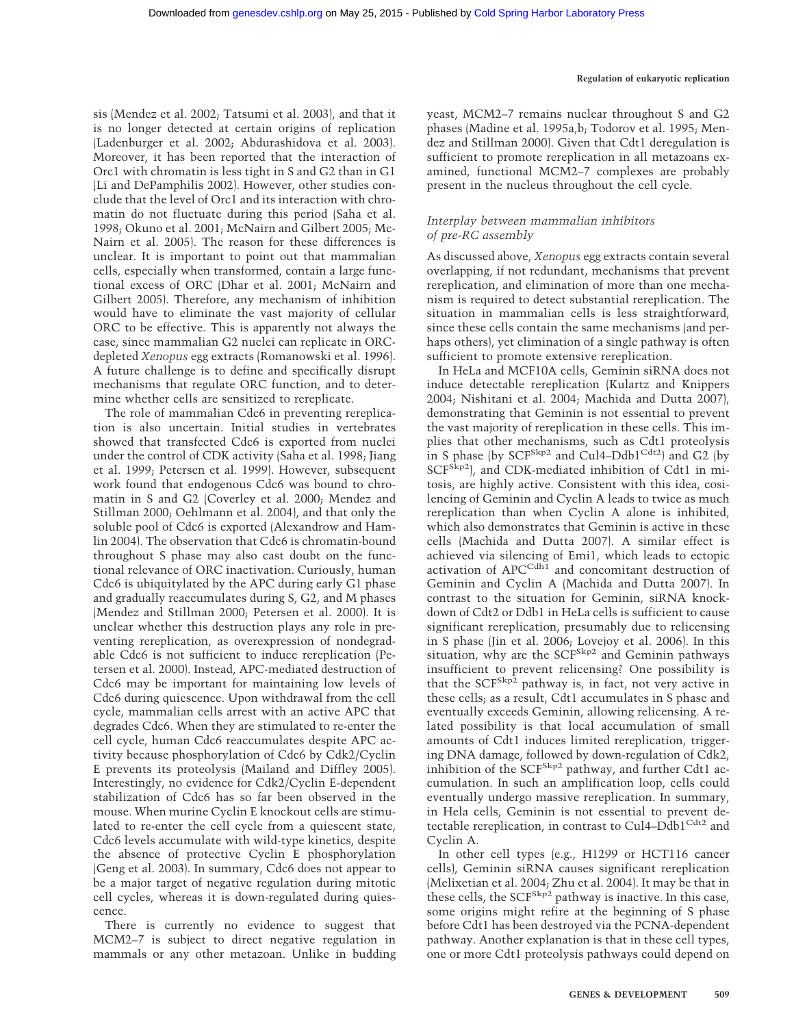sis (Mendez et al. 2002; Tatsumi et al. 2003), and that it is no longer detected at certain origins of replication (Ladenburger et al. 2002; Abdurashidova et al. 2003). Moreover, it has been reported that the interaction of Orc1 with chromatin is less tight in S and G2 than in G1 (Li and DePamphilis 2002). However, other studies conclude that the level of Orc1 and its interaction with chromatin do not fluctuate during this period (Saha et al. 1998; Okuno et al. 2001; McNairn and Gilbert 2005; Mc-Nairn et al. 2005). The reason for these differences is unclear. It is important to point out that mammalian cells, especially when transformed, contain a large functional excess of ORC (Dhar et al. 2001; McNairn and Gilbert 2005). Therefore, any mechanism of inhibition would have to eliminate the vast majority of cellular ORC to be effective. This is apparently not always the case, since mammalian G2 nuclei can replicate in ORCdepleted *Xenopus* egg extracts (Romanowski et al. 1996). A future challenge is to define and specifically disrupt mechanisms that regulate ORC function, and to determine whether cells are sensitized to rereplicate.

The role of mammalian Cdc6 in preventing rereplication is also uncertain. Initial studies in vertebrates showed that transfected Cdc6 is exported from nuclei under the control of CDK activity (Saha et al. 1998; Jiang et al. 1999; Petersen et al. 1999). However, subsequent work found that endogenous Cdc6 was bound to chromatin in S and G2 (Coverley et al. 2000; Mendez and Stillman 2000; Oehlmann et al. 2004), and that only the soluble pool of Cdc6 is exported (Alexandrow and Hamlin 2004). The observation that Cdc6 is chromatin-bound throughout S phase may also cast doubt on the functional relevance of ORC inactivation. Curiously, human Cdc6 is ubiquitylated by the APC during early G1 phase and gradually reaccumulates during S, G2, and M phases (Mendez and Stillman 2000; Petersen et al. 2000). It is unclear whether this destruction plays any role in preventing rereplication, as overexpression of nondegradable Cdc6 is not sufficient to induce rereplication (Petersen et al. 2000). Instead, APC-mediated destruction of Cdc6 may be important for maintaining low levels of Cdc6 during quiescence. Upon withdrawal from the cell cycle, mammalian cells arrest with an active APC that degrades Cdc6. When they are stimulated to re-enter the cell cycle, human Cdc6 reaccumulates despite APC activity because phosphorylation of Cdc6 by Cdk2/Cyclin E prevents its proteolysis (Mailand and Diffley 2005). Interestingly, no evidence for Cdk2/Cyclin E-dependent stabilization of Cdc6 has so far been observed in the mouse. When murine Cyclin E knockout cells are stimulated to re-enter the cell cycle from a quiescent state, Cdc6 levels accumulate with wild-type kinetics, despite the absence of protective Cyclin E phosphorylation (Geng et al. 2003). In summary, Cdc6 does not appear to be a major target of negative regulation during mitotic cell cycles, whereas it is down-regulated during quiescence.

There is currently no evidence to suggest that MCM2–7 is subject to direct negative regulation in mammals or any other metazoan. Unlike in budding yeast, MCM2–7 remains nuclear throughout S and G2 phases (Madine et al. 1995a,b; Todorov et al. 1995; Mendez and Stillman 2000). Given that Cdt1 deregulation is sufficient to promote rereplication in all metazoans examined, functional MCM2–7 complexes are probably present in the nucleus throughout the cell cycle.

# *Interplay between mammalian inhibitors of pre-RC assembly*

As discussed above, *Xenopus* egg extracts contain several overlapping, if not redundant, mechanisms that prevent rereplication, and elimination of more than one mechanism is required to detect substantial rereplication. The situation in mammalian cells is less straightforward, since these cells contain the same mechanisms (and perhaps others), yet elimination of a single pathway is often sufficient to promote extensive rereplication.

In HeLa and MCF10A cells, Geminin siRNA does not induce detectable rereplication (Kulartz and Knippers 2004; Nishitani et al. 2004; Machida and Dutta 2007), demonstrating that Geminin is not essential to prevent the vast majority of rereplication in these cells. This implies that other mechanisms, such as Cdt1 proteolysis in S phase (by  $SCF^{Skp2}$  and  $Cul4-Ddb1<sup>Cdt2</sup>$ ) and G2 (by SCF<sup>Skp2</sup>), and CDK-mediated inhibition of Cdt1 in mitosis, are highly active. Consistent with this idea, cosilencing of Geminin and Cyclin A leads to twice as much rereplication than when Cyclin A alone is inhibited, which also demonstrates that Geminin is active in these cells (Machida and Dutta 2007). A similar effect is achieved via silencing of Emi1, which leads to ectopic activation of APCCdh<sub>1</sub> and concomitant destruction of Geminin and Cyclin A (Machida and Dutta 2007). In contrast to the situation for Geminin, siRNA knockdown of Cdt2 or Ddb1 in HeLa cells is sufficient to cause significant rereplication, presumably due to relicensing in S phase (Jin et al. 2006; Lovejoy et al. 2006). In this situation, why are the SCF<sup>Skp2</sup> and Geminin pathways insufficient to prevent relicensing? One possibility is that the SCF<sup>Skp2</sup> pathway is, in fact, not very active in these cells; as a result, Cdt1 accumulates in S phase and eventually exceeds Geminin, allowing relicensing. A related possibility is that local accumulation of small amounts of Cdt1 induces limited rereplication, triggering DNA damage, followed by down-regulation of Cdk2, inhibition of the SCF ${}^{Skp2}$  pathway, and further Cdt1 accumulation. In such an amplification loop, cells could eventually undergo massive rereplication. In summary, in Hela cells, Geminin is not essential to prevent detectable rereplication, in contrast to Cul4-Ddb1<sup>Cdt2</sup> and Cyclin A.

In other cell types (e.g., H1299 or HCT116 cancer cells), Geminin siRNA causes significant rereplication (Melixetian et al. 2004; Zhu et al. 2004). It may be that in these cells, the SCF<sup>Skp2</sup> pathway is inactive. In this case, some origins might refire at the beginning of S phase before Cdt1 has been destroyed via the PCNA-dependent pathway. Another explanation is that in these cell types, one or more Cdt1 proteolysis pathways could depend on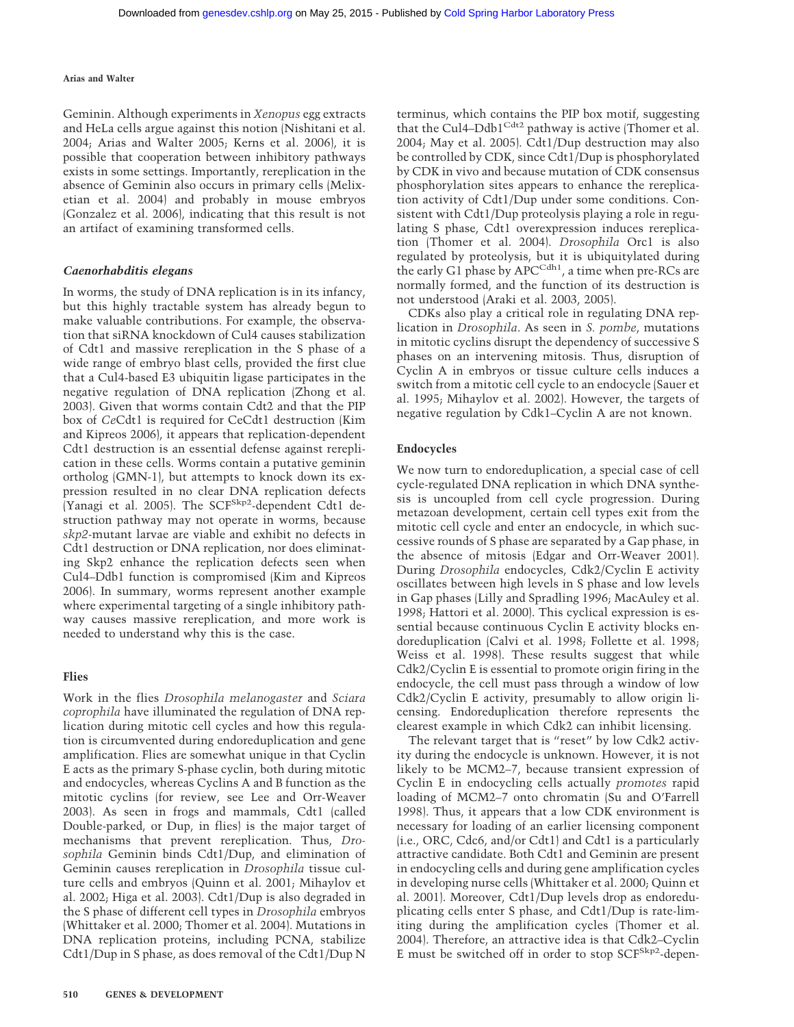Geminin. Although experiments in *Xenopus* egg extracts and HeLa cells argue against this notion (Nishitani et al. 2004; Arias and Walter 2005; Kerns et al. 2006), it is possible that cooperation between inhibitory pathways exists in some settings. Importantly, rereplication in the absence of Geminin also occurs in primary cells (Melixetian et al. 2004) and probably in mouse embryos (Gonzalez et al. 2006), indicating that this result is not an artifact of examining transformed cells.

# *Caenorhabditis elegans*

In worms, the study of DNA replication is in its infancy, but this highly tractable system has already begun to make valuable contributions. For example, the observation that siRNA knockdown of Cul4 causes stabilization of Cdt1 and massive rereplication in the S phase of a wide range of embryo blast cells, provided the first clue that a Cul4-based E3 ubiquitin ligase participates in the negative regulation of DNA replication (Zhong et al. 2003). Given that worms contain Cdt2 and that the PIP box of *Ce*Cdt1 is required for CeCdt1 destruction (Kim and Kipreos 2006), it appears that replication-dependent Cdt1 destruction is an essential defense against rereplication in these cells. Worms contain a putative geminin ortholog (GMN-1), but attempts to knock down its expression resulted in no clear DNA replication defects (Yanagi et al. 2005). The SCF<sup>Skp2</sup>-dependent Cdt1 destruction pathway may not operate in worms, because *skp2*-mutant larvae are viable and exhibit no defects in Cdt1 destruction or DNA replication, nor does eliminating Skp2 enhance the replication defects seen when Cul4–Ddb1 function is compromised (Kim and Kipreos 2006). In summary, worms represent another example where experimental targeting of a single inhibitory pathway causes massive rereplication, and more work is needed to understand why this is the case.

# **Flies**

Work in the flies *Drosophila melanogaster* and *Sciara coprophila* have illuminated the regulation of DNA replication during mitotic cell cycles and how this regulation is circumvented during endoreduplication and gene amplification. Flies are somewhat unique in that Cyclin E acts as the primary S-phase cyclin, both during mitotic and endocycles, whereas Cyclins A and B function as the mitotic cyclins (for review, see Lee and Orr-Weaver 2003). As seen in frogs and mammals, Cdt1 (called Double-parked, or Dup, in flies) is the major target of mechanisms that prevent rereplication. Thus, *Drosophila* Geminin binds Cdt1/Dup, and elimination of Geminin causes rereplication in *Drosophila* tissue culture cells and embryos (Quinn et al. 2001; Mihaylov et al. 2002; Higa et al. 2003). Cdt1/Dup is also degraded in the S phase of different cell types in *Drosophila* embryos (Whittaker et al. 2000; Thomer et al. 2004). Mutations in DNA replication proteins, including PCNA, stabilize Cdt1/Dup in S phase, as does removal of the Cdt1/Dup N terminus, which contains the PIP box motif, suggesting that the Cul4–Ddb1<sup>Cdt2</sup> pathway is active (Thomer et al. 2004; May et al. 2005). Cdt1/Dup destruction may also be controlled by CDK, since Cdt1/Dup is phosphorylated by CDK in vivo and because mutation of CDK consensus phosphorylation sites appears to enhance the rereplication activity of Cdt1/Dup under some conditions. Consistent with Cdt1/Dup proteolysis playing a role in regulating S phase, Cdt1 overexpression induces rereplication (Thomer et al. 2004). *Drosophila* Orc1 is also regulated by proteolysis, but it is ubiquitylated during the early G1 phase by APCCdh1, a time when pre-RCs are normally formed, and the function of its destruction is not understood (Araki et al. 2003, 2005).

CDKs also play a critical role in regulating DNA replication in *Drosophila*. As seen in *S. pombe*, mutations in mitotic cyclins disrupt the dependency of successive S phases on an intervening mitosis. Thus, disruption of Cyclin A in embryos or tissue culture cells induces a switch from a mitotic cell cycle to an endocycle (Sauer et al. 1995; Mihaylov et al. 2002). However, the targets of negative regulation by Cdk1–Cyclin A are not known.

# **Endocycles**

We now turn to endoreduplication, a special case of cell cycle-regulated DNA replication in which DNA synthesis is uncoupled from cell cycle progression. During metazoan development, certain cell types exit from the mitotic cell cycle and enter an endocycle, in which successive rounds of S phase are separated by a Gap phase, in the absence of mitosis (Edgar and Orr-Weaver 2001). During *Drosophila* endocycles, Cdk2/Cyclin E activity oscillates between high levels in S phase and low levels in Gap phases (Lilly and Spradling 1996; MacAuley et al. 1998; Hattori et al. 2000). This cyclical expression is essential because continuous Cyclin E activity blocks endoreduplication (Calvi et al. 1998; Follette et al. 1998; Weiss et al. 1998). These results suggest that while Cdk2/Cyclin E is essential to promote origin firing in the endocycle, the cell must pass through a window of low Cdk2/Cyclin E activity, presumably to allow origin licensing. Endoreduplication therefore represents the clearest example in which Cdk2 can inhibit licensing.

The relevant target that is "reset" by low Cdk2 activity during the endocycle is unknown. However, it is not likely to be MCM2–7, because transient expression of Cyclin E in endocycling cells actually *promotes* rapid loading of MCM2–7 onto chromatin (Su and O'Farrell 1998). Thus, it appears that a low CDK environment is necessary for loading of an earlier licensing component (i.e., ORC, Cdc6, and/or Cdt1) and Cdt1 is a particularly attractive candidate. Both Cdt1 and Geminin are present in endocycling cells and during gene amplification cycles in developing nurse cells (Whittaker et al. 2000; Quinn et al. 2001). Moreover, Cdt1/Dup levels drop as endoreduplicating cells enter S phase, and Cdt1/Dup is rate-limiting during the amplification cycles (Thomer et al. 2004). Therefore, an attractive idea is that Cdk2–Cyclin E must be switched off in order to stop SCF<sup>Skp2</sup>-depen-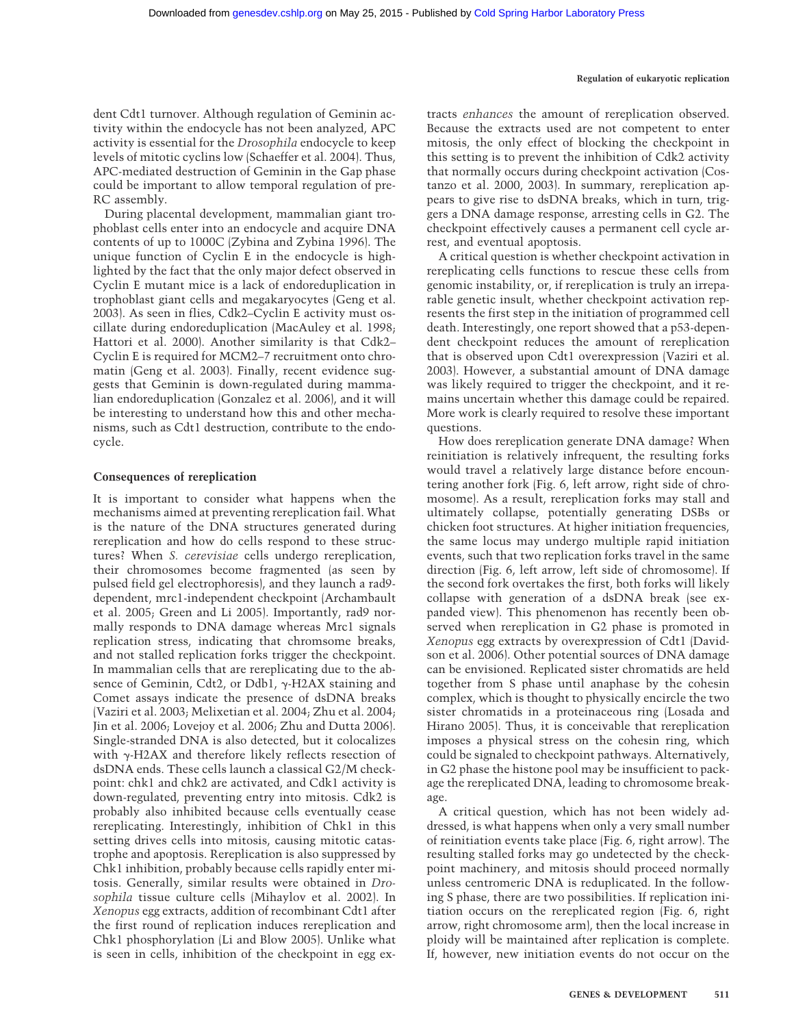dent Cdt1 turnover. Although regulation of Geminin activity within the endocycle has not been analyzed, APC activity is essential for the *Drosophila* endocycle to keep levels of mitotic cyclins low (Schaeffer et al. 2004). Thus, APC-mediated destruction of Geminin in the Gap phase could be important to allow temporal regulation of pre-RC assembly.

During placental development, mammalian giant trophoblast cells enter into an endocycle and acquire DNA contents of up to 1000C (Zybina and Zybina 1996). The unique function of Cyclin E in the endocycle is highlighted by the fact that the only major defect observed in Cyclin E mutant mice is a lack of endoreduplication in trophoblast giant cells and megakaryocytes (Geng et al. 2003). As seen in flies, Cdk2–Cyclin E activity must oscillate during endoreduplication (MacAuley et al. 1998; Hattori et al. 2000). Another similarity is that Cdk2– Cyclin E is required for MCM2–7 recruitment onto chromatin (Geng et al. 2003). Finally, recent evidence suggests that Geminin is down-regulated during mammalian endoreduplication (Gonzalez et al. 2006), and it will be interesting to understand how this and other mechanisms, such as Cdt1 destruction, contribute to the endocycle.

#### **Consequences of rereplication**

It is important to consider what happens when the mechanisms aimed at preventing rereplication fail. What is the nature of the DNA structures generated during rereplication and how do cells respond to these structures? When *S. cerevisiae* cells undergo rereplication, their chromosomes become fragmented (as seen by pulsed field gel electrophoresis), and they launch a rad9 dependent, mrc1-independent checkpoint (Archambault et al. 2005; Green and Li 2005). Importantly, rad9 normally responds to DNA damage whereas Mrc1 signals replication stress, indicating that chromsome breaks, and not stalled replication forks trigger the checkpoint. In mammalian cells that are rereplicating due to the absence of Geminin, Cdt2, or Ddb1,  $\gamma$ -H2AX staining and Comet assays indicate the presence of dsDNA breaks (Vaziri et al. 2003; Melixetian et al. 2004; Zhu et al. 2004; Jin et al. 2006; Lovejoy et al. 2006; Zhu and Dutta 2006). Single-stranded DNA is also detected, but it colocalizes with  $\gamma$ -H2AX and therefore likely reflects resection of dsDNA ends. These cells launch a classical G2/M checkpoint: chk1 and chk2 are activated, and Cdk1 activity is down-regulated, preventing entry into mitosis. Cdk2 is probably also inhibited because cells eventually cease rereplicating. Interestingly, inhibition of Chk1 in this setting drives cells into mitosis, causing mitotic catastrophe and apoptosis. Rereplication is also suppressed by Chk1 inhibition, probably because cells rapidly enter mitosis. Generally, similar results were obtained in *Drosophila* tissue culture cells (Mihaylov et al. 2002). In *Xenopus* egg extracts, addition of recombinant Cdt1 after the first round of replication induces rereplication and Chk1 phosphorylation (Li and Blow 2005). Unlike what is seen in cells, inhibition of the checkpoint in egg extracts *enhances* the amount of rereplication observed. Because the extracts used are not competent to enter mitosis, the only effect of blocking the checkpoint in this setting is to prevent the inhibition of Cdk2 activity that normally occurs during checkpoint activation (Costanzo et al. 2000, 2003). In summary, rereplication appears to give rise to dsDNA breaks, which in turn, triggers a DNA damage response, arresting cells in G2. The checkpoint effectively causes a permanent cell cycle arrest, and eventual apoptosis.

A critical question is whether checkpoint activation in rereplicating cells functions to rescue these cells from genomic instability, or, if rereplication is truly an irreparable genetic insult, whether checkpoint activation represents the first step in the initiation of programmed cell death. Interestingly, one report showed that a p53-dependent checkpoint reduces the amount of rereplication that is observed upon Cdt1 overexpression (Vaziri et al. 2003). However, a substantial amount of DNA damage was likely required to trigger the checkpoint, and it remains uncertain whether this damage could be repaired. More work is clearly required to resolve these important questions.

How does rereplication generate DNA damage? When reinitiation is relatively infrequent, the resulting forks would travel a relatively large distance before encountering another fork (Fig. 6, left arrow, right side of chromosome). As a result, rereplication forks may stall and ultimately collapse, potentially generating DSBs or chicken foot structures. At higher initiation frequencies, the same locus may undergo multiple rapid initiation events, such that two replication forks travel in the same direction (Fig. 6, left arrow, left side of chromosome). If the second fork overtakes the first, both forks will likely collapse with generation of a dsDNA break (see expanded view). This phenomenon has recently been observed when rereplication in G2 phase is promoted in *Xenopus* egg extracts by overexpression of Cdt1 (Davidson et al. 2006). Other potential sources of DNA damage can be envisioned. Replicated sister chromatids are held together from S phase until anaphase by the cohesin complex, which is thought to physically encircle the two sister chromatids in a proteinaceous ring (Losada and Hirano 2005). Thus, it is conceivable that rereplication imposes a physical stress on the cohesin ring, which could be signaled to checkpoint pathways. Alternatively, in G2 phase the histone pool may be insufficient to package the rereplicated DNA, leading to chromosome breakage.

A critical question, which has not been widely addressed, is what happens when only a very small number of reinitiation events take place (Fig. 6, right arrow). The resulting stalled forks may go undetected by the checkpoint machinery, and mitosis should proceed normally unless centromeric DNA is reduplicated. In the following S phase, there are two possibilities. If replication initiation occurs on the rereplicated region (Fig. 6, right arrow, right chromosome arm), then the local increase in ploidy will be maintained after replication is complete. If, however, new initiation events do not occur on the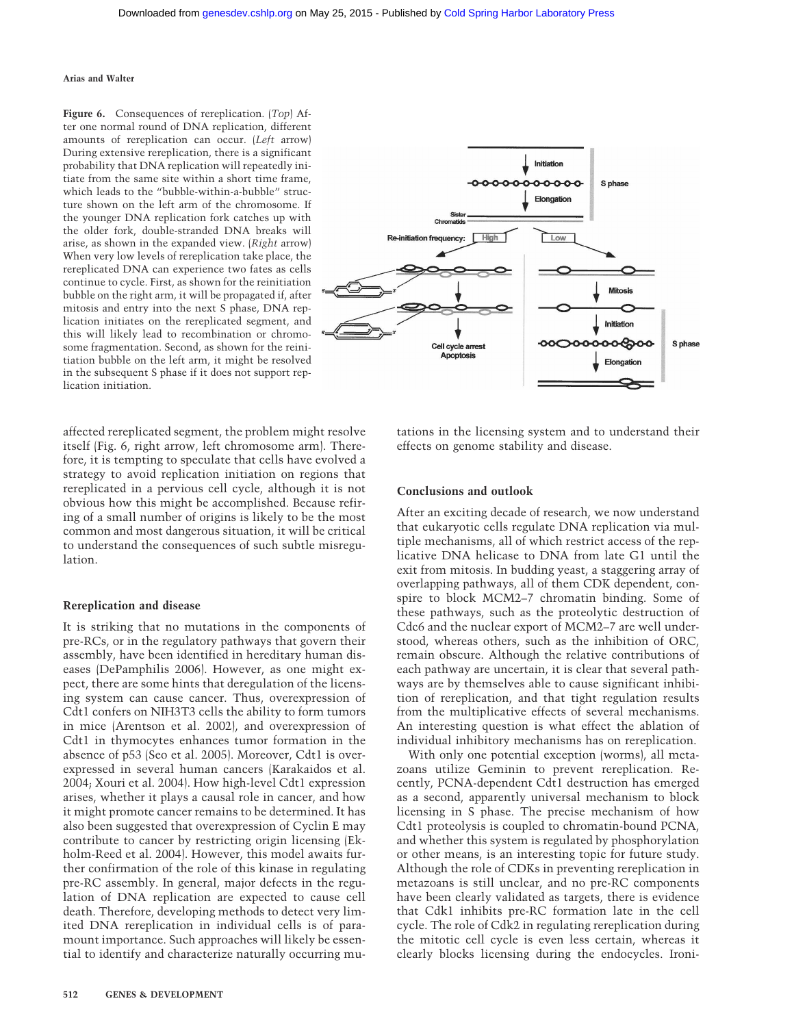**Figure 6.** Consequences of rereplication. (*Top*) After one normal round of DNA replication, different amounts of rereplication can occur. (*Left* arrow) During extensive rereplication, there is a significant probability that DNA replication will repeatedly initiate from the same site within a short time frame, which leads to the "bubble-within-a-bubble" structure shown on the left arm of the chromosome. If the younger DNA replication fork catches up with the older fork, double-stranded DNA breaks will arise, as shown in the expanded view. (*Right* arrow) When very low levels of rereplication take place, the rereplicated DNA can experience two fates as cells continue to cycle. First, as shown for the reinitiation bubble on the right arm, it will be propagated if, after mitosis and entry into the next S phase, DNA replication initiates on the rereplicated segment, and this will likely lead to recombination or chromosome fragmentation. Second, as shown for the reinitiation bubble on the left arm, it might be resolved in the subsequent S phase if it does not support replication initiation.

affected rereplicated segment, the problem might resolve itself (Fig. 6, right arrow, left chromosome arm). Therefore, it is tempting to speculate that cells have evolved a strategy to avoid replication initiation on regions that rereplicated in a pervious cell cycle, although it is not obvious how this might be accomplished. Because refiring of a small number of origins is likely to be the most common and most dangerous situation, it will be critical to understand the consequences of such subtle misregulation.

# **Rereplication and disease**

It is striking that no mutations in the components of pre-RCs, or in the regulatory pathways that govern their assembly, have been identified in hereditary human diseases (DePamphilis 2006). However, as one might expect, there are some hints that deregulation of the licensing system can cause cancer. Thus, overexpression of Cdt1 confers on NIH3T3 cells the ability to form tumors in mice (Arentson et al. 2002), and overexpression of Cdt1 in thymocytes enhances tumor formation in the absence of p53 (Seo et al. 2005). Moreover, Cdt1 is overexpressed in several human cancers (Karakaidos et al. 2004; Xouri et al. 2004). How high-level Cdt1 expression arises, whether it plays a causal role in cancer, and how it might promote cancer remains to be determined. It has also been suggested that overexpression of Cyclin E may contribute to cancer by restricting origin licensing (Ekholm-Reed et al. 2004). However, this model awaits further confirmation of the role of this kinase in regulating pre-RC assembly. In general, major defects in the regulation of DNA replication are expected to cause cell death. Therefore, developing methods to detect very limited DNA rereplication in individual cells is of paramount importance. Such approaches will likely be essential to identify and characterize naturally occurring mu-



tations in the licensing system and to understand their effects on genome stability and disease.

#### **Conclusions and outlook**

After an exciting decade of research, we now understand that eukaryotic cells regulate DNA replication via multiple mechanisms, all of which restrict access of the replicative DNA helicase to DNA from late G1 until the exit from mitosis. In budding yeast, a staggering array of overlapping pathways, all of them CDK dependent, conspire to block MCM2–7 chromatin binding. Some of these pathways, such as the proteolytic destruction of Cdc6 and the nuclear export of MCM2–7 are well understood, whereas others, such as the inhibition of ORC, remain obscure. Although the relative contributions of each pathway are uncertain, it is clear that several pathways are by themselves able to cause significant inhibition of rereplication, and that tight regulation results from the multiplicative effects of several mechanisms. An interesting question is what effect the ablation of individual inhibitory mechanisms has on rereplication.

With only one potential exception (worms), all metazoans utilize Geminin to prevent rereplication. Recently, PCNA-dependent Cdt1 destruction has emerged as a second, apparently universal mechanism to block licensing in S phase. The precise mechanism of how Cdt1 proteolysis is coupled to chromatin-bound PCNA, and whether this system is regulated by phosphorylation or other means, is an interesting topic for future study. Although the role of CDKs in preventing rereplication in metazoans is still unclear, and no pre-RC components have been clearly validated as targets, there is evidence that Cdk1 inhibits pre-RC formation late in the cell cycle. The role of Cdk2 in regulating rereplication during the mitotic cell cycle is even less certain, whereas it clearly blocks licensing during the endocycles. Ironi-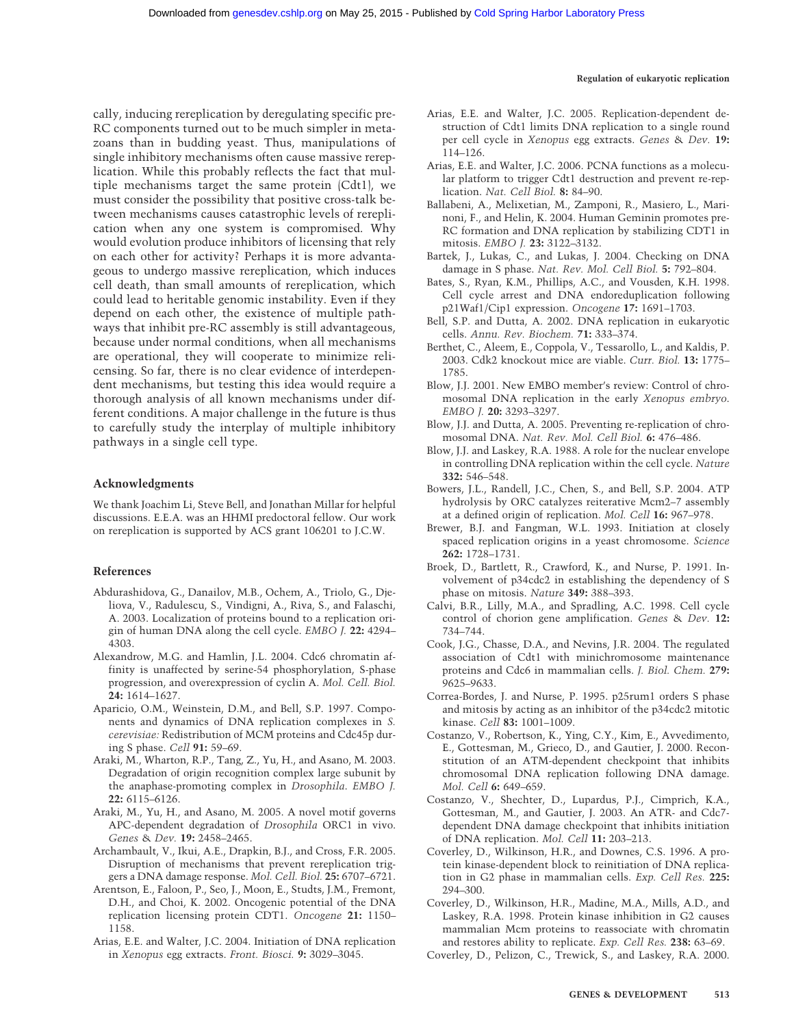cally, inducing rereplication by deregulating specific pre-RC components turned out to be much simpler in metazoans than in budding yeast. Thus, manipulations of single inhibitory mechanisms often cause massive rereplication. While this probably reflects the fact that multiple mechanisms target the same protein (Cdt1), we must consider the possibility that positive cross-talk between mechanisms causes catastrophic levels of rereplication when any one system is compromised. Why would evolution produce inhibitors of licensing that rely on each other for activity? Perhaps it is more advantageous to undergo massive rereplication, which induces cell death, than small amounts of rereplication, which could lead to heritable genomic instability. Even if they depend on each other, the existence of multiple pathways that inhibit pre-RC assembly is still advantageous, because under normal conditions, when all mechanisms are operational, they will cooperate to minimize relicensing. So far, there is no clear evidence of interdependent mechanisms, but testing this idea would require a thorough analysis of all known mechanisms under different conditions. A major challenge in the future is thus to carefully study the interplay of multiple inhibitory pathways in a single cell type.

#### **Acknowledgments**

We thank Joachim Li, Steve Bell, and Jonathan Millar for helpful discussions. E.E.A. was an HHMI predoctoral fellow. Our work on rereplication is supported by ACS grant 106201 to J.C.W.

#### **References**

- Abdurashidova, G., Danailov, M.B., Ochem, A., Triolo, G., Djeliova, V., Radulescu, S., Vindigni, A., Riva, S., and Falaschi, A. 2003. Localization of proteins bound to a replication origin of human DNA along the cell cycle. *EMBO J.* **22:** 4294– 4303.
- Alexandrow, M.G. and Hamlin, J.L. 2004. Cdc6 chromatin affinity is unaffected by serine-54 phosphorylation, S-phase progression, and overexpression of cyclin A. *Mol. Cell. Biol.* **24:** 1614–1627.
- Aparicio, O.M., Weinstein, D.M., and Bell, S.P. 1997. Components and dynamics of DNA replication complexes in *S. cerevisiae:* Redistribution of MCM proteins and Cdc45p during S phase. *Cell* **91:** 59–69.
- Araki, M., Wharton, R.P., Tang, Z., Yu, H., and Asano, M. 2003. Degradation of origin recognition complex large subunit by the anaphase-promoting complex in *Drosophila*. *EMBO J.* **22:** 6115–6126.
- Araki, M., Yu, H., and Asano, M. 2005. A novel motif governs APC-dependent degradation of *Drosophila* ORC1 in vivo. *Genes* & *Dev.* **19:** 2458–2465.
- Archambault, V., Ikui, A.E., Drapkin, B.J., and Cross, F.R. 2005. Disruption of mechanisms that prevent rereplication triggers a DNA damage response. *Mol. Cell. Biol.* **25:** 6707–6721.
- Arentson, E., Faloon, P., Seo, J., Moon, E., Studts, J.M., Fremont, D.H., and Choi, K. 2002. Oncogenic potential of the DNA replication licensing protein CDT1. *Oncogene* **21:** 1150– 1158.
- Arias, E.E. and Walter, J.C. 2004. Initiation of DNA replication in *Xenopus* egg extracts. *Front. Biosci.* **9:** 3029–3045.
- Arias, E.E. and Walter, J.C. 2005. Replication-dependent destruction of Cdt1 limits DNA replication to a single round per cell cycle in *Xenopus* egg extracts. *Genes* & *Dev.* **19:** 114–126.
- Arias, E.E. and Walter, J.C. 2006. PCNA functions as a molecular platform to trigger Cdt1 destruction and prevent re-replication. *Nat. Cell Biol.* **8:** 84–90.
- Ballabeni, A., Melixetian, M., Zamponi, R., Masiero, L., Marinoni, F., and Helin, K. 2004. Human Geminin promotes pre-RC formation and DNA replication by stabilizing CDT1 in mitosis. *EMBO J.* **23:** 3122–3132.
- Bartek, J., Lukas, C., and Lukas, J. 2004. Checking on DNA damage in S phase. *Nat. Rev. Mol. Cell Biol.* **5:** 792–804.
- Bates, S., Ryan, K.M., Phillips, A.C., and Vousden, K.H. 1998. Cell cycle arrest and DNA endoreduplication following p21Waf1/Cip1 expression. *Oncogene* **17:** 1691–1703.
- Bell, S.P. and Dutta, A. 2002. DNA replication in eukaryotic cells. *Annu. Rev. Biochem.* **71:** 333–374.
- Berthet, C., Aleem, E., Coppola, V., Tessarollo, L., and Kaldis, P. 2003. Cdk2 knockout mice are viable. *Curr. Biol.* **13:** 1775– 1785.
- Blow, J.J. 2001. New EMBO member's review: Control of chromosomal DNA replication in the early *Xenopus embryo*. *EMBO J.* **20:** 3293–3297.
- Blow, J.J. and Dutta, A. 2005. Preventing re-replication of chromosomal DNA. *Nat. Rev. Mol. Cell Biol.* **6:** 476–486.
- Blow, J.J. and Laskey, R.A. 1988. A role for the nuclear envelope in controlling DNA replication within the cell cycle. *Nature* **332:** 546–548.
- Bowers, J.L., Randell, J.C., Chen, S., and Bell, S.P. 2004. ATP hydrolysis by ORC catalyzes reiterative Mcm2–7 assembly at a defined origin of replication. *Mol. Cell* **16:** 967–978.
- Brewer, B.J. and Fangman, W.L. 1993. Initiation at closely spaced replication origins in a yeast chromosome. *Science* **262:** 1728–1731.
- Broek, D., Bartlett, R., Crawford, K., and Nurse, P. 1991. Involvement of p34cdc2 in establishing the dependency of S phase on mitosis. *Nature* **349:** 388–393.
- Calvi, B.R., Lilly, M.A., and Spradling, A.C. 1998. Cell cycle control of chorion gene amplification. *Genes* & *Dev.* **12:** 734–744.
- Cook, J.G., Chasse, D.A., and Nevins, J.R. 2004. The regulated association of Cdt1 with minichromosome maintenance proteins and Cdc6 in mammalian cells. *J. Biol. Chem.* **279:** 9625–9633.
- Correa-Bordes, J. and Nurse, P. 1995. p25rum1 orders S phase and mitosis by acting as an inhibitor of the p34cdc2 mitotic kinase. *Cell* **83:** 1001–1009.
- Costanzo, V., Robertson, K., Ying, C.Y., Kim, E., Avvedimento, E., Gottesman, M., Grieco, D., and Gautier, J. 2000. Reconstitution of an ATM-dependent checkpoint that inhibits chromosomal DNA replication following DNA damage. *Mol. Cell* **6:** 649–659.
- Costanzo, V., Shechter, D., Lupardus, P.J., Cimprich, K.A., Gottesman, M., and Gautier, J. 2003. An ATR- and Cdc7 dependent DNA damage checkpoint that inhibits initiation of DNA replication. *Mol. Cell* **11:** 203–213.
- Coverley, D., Wilkinson, H.R., and Downes, C.S. 1996. A protein kinase-dependent block to reinitiation of DNA replication in G2 phase in mammalian cells. *Exp. Cell Res.* **225:** 294–300.
- Coverley, D., Wilkinson, H.R., Madine, M.A., Mills, A.D., and Laskey, R.A. 1998. Protein kinase inhibition in G2 causes mammalian Mcm proteins to reassociate with chromatin and restores ability to replicate. *Exp. Cell Res.* **238:** 63–69.
- Coverley, D., Pelizon, C., Trewick, S., and Laskey, R.A. 2000.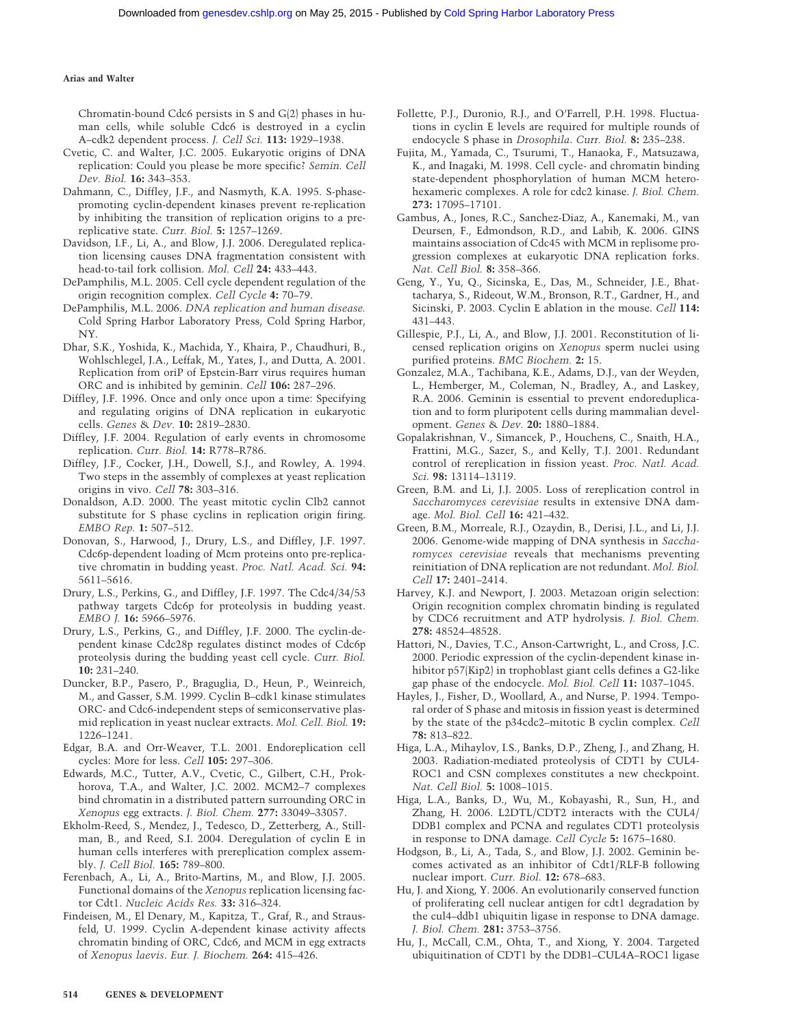Chromatin-bound Cdc6 persists in S and G(2) phases in human cells, while soluble Cdc6 is destroyed in a cyclin A–cdk2 dependent process. *J. Cell Sci.* **113:** 1929–1938.

- Cvetic, C. and Walter, J.C. 2005. Eukaryotic origins of DNA replication: Could you please be more specific? *Semin. Cell Dev. Biol.* **16:** 343–353.
- Dahmann, C., Diffley, J.F., and Nasmyth, K.A. 1995. S-phasepromoting cyclin-dependent kinases prevent re-replication by inhibiting the transition of replication origins to a prereplicative state. *Curr. Biol.* **5:** 1257–1269.
- Davidson, I.F., Li, A., and Blow, J.J. 2006. Deregulated replication licensing causes DNA fragmentation consistent with head-to-tail fork collision. *Mol. Cell* **24:** 433–443.
- DePamphilis, M.L. 2005. Cell cycle dependent regulation of the origin recognition complex. *Cell Cycle* **4:** 70–79.
- DePamphilis, M.L. 2006. *DNA replication and human disease.* Cold Spring Harbor Laboratory Press, Cold Spring Harbor, NY.
- Dhar, S.K., Yoshida, K., Machida, Y., Khaira, P., Chaudhuri, B., Wohlschlegel, J.A., Leffak, M., Yates, J., and Dutta, A. 2001. Replication from oriP of Epstein-Barr virus requires human ORC and is inhibited by geminin. *Cell* **106:** 287–296.
- Diffley, J.F. 1996. Once and only once upon a time: Specifying and regulating origins of DNA replication in eukaryotic cells. *Genes* & *Dev.* **10:** 2819–2830.
- Diffley, J.F. 2004. Regulation of early events in chromosome replication. *Curr. Biol.* **14:** R778–R786.
- Diffley, J.F., Cocker, J.H., Dowell, S.J., and Rowley, A. 1994. Two steps in the assembly of complexes at yeast replication origins in vivo. *Cell* **78:** 303–316.
- Donaldson, A.D. 2000. The yeast mitotic cyclin Clb2 cannot substitute for S phase cyclins in replication origin firing. *EMBO Rep.* **1:** 507–512.
- Donovan, S., Harwood, J., Drury, L.S., and Diffley, J.F. 1997. Cdc6p-dependent loading of Mcm proteins onto pre-replicative chromatin in budding yeast. *Proc. Natl. Acad. Sci.* **94:** 5611–5616.
- Drury, L.S., Perkins, G., and Diffley, J.F. 1997. The Cdc4/34/53 pathway targets Cdc6p for proteolysis in budding yeast. *EMBO J.* **16:** 5966–5976.
- Drury, L.S., Perkins, G., and Diffley, J.F. 2000. The cyclin-dependent kinase Cdc28p regulates distinct modes of Cdc6p proteolysis during the budding yeast cell cycle. *Curr. Biol.* **10:** 231–240.
- Duncker, B.P., Pasero, P., Braguglia, D., Heun, P., Weinreich, M., and Gasser, S.M. 1999. Cyclin B–cdk1 kinase stimulates ORC- and Cdc6-independent steps of semiconservative plasmid replication in yeast nuclear extracts. *Mol. Cell. Biol.* **19:** 1226–1241.
- Edgar, B.A. and Orr-Weaver, T.L. 2001. Endoreplication cell cycles: More for less. *Cell* **105:** 297–306.
- Edwards, M.C., Tutter, A.V., Cvetic, C., Gilbert, C.H., Prokhorova, T.A., and Walter, J.C. 2002. MCM2–7 complexes bind chromatin in a distributed pattern surrounding ORC in *Xenopus* egg extracts. *J. Biol. Chem.* **277:** 33049–33057.
- Ekholm-Reed, S., Mendez, J., Tedesco, D., Zetterberg, A., Stillman, B., and Reed, S.I. 2004. Deregulation of cyclin E in human cells interferes with prereplication complex assembly. *J. Cell Biol.* **165:** 789–800.
- Ferenbach, A., Li, A., Brito-Martins, M., and Blow, J.J. 2005. Functional domains of the *Xenopus* replication licensing factor Cdt1. *Nucleic Acids Res.* **33:** 316–324.
- Findeisen, M., El Denary, M., Kapitza, T., Graf, R., and Strausfeld, U. 1999. Cyclin A-dependent kinase activity affects chromatin binding of ORC, Cdc6, and MCM in egg extracts of *Xenopus laevis*. *Eur. J. Biochem.* **264:** 415–426.
- Follette, P.J., Duronio, R.J., and O'Farrell, P.H. 1998. Fluctuations in cyclin E levels are required for multiple rounds of endocycle S phase in *Drosophila*. *Curr. Biol.* **8:** 235–238.
- Fujita, M., Yamada, C., Tsurumi, T., Hanaoka, F., Matsuzawa, K., and Inagaki, M. 1998. Cell cycle- and chromatin binding state-dependent phosphorylation of human MCM heterohexameric complexes. A role for cdc2 kinase. *J. Biol. Chem.* **273:** 17095–17101.
- Gambus, A., Jones, R.C., Sanchez-Diaz, A., Kanemaki, M., van Deursen, F., Edmondson, R.D., and Labib, K. 2006. GINS maintains association of Cdc45 with MCM in replisome progression complexes at eukaryotic DNA replication forks. *Nat. Cell Biol.* **8:** 358–366.
- Geng, Y., Yu, Q., Sicinska, E., Das, M., Schneider, J.E., Bhattacharya, S., Rideout, W.M., Bronson, R.T., Gardner, H., and Sicinski, P. 2003. Cyclin E ablation in the mouse. *Cell* **114:** 431–443.
- Gillespie, P.J., Li, A., and Blow, J.J. 2001. Reconstitution of licensed replication origins on *Xenopus* sperm nuclei using purified proteins. *BMC Biochem.* **2:** 15.
- Gonzalez, M.A., Tachibana, K.E., Adams, D.J., van der Weyden, L., Hemberger, M., Coleman, N., Bradley, A., and Laskey, R.A. 2006. Geminin is essential to prevent endoreduplication and to form pluripotent cells during mammalian development. *Genes* & *Dev.* **20:** 1880–1884.
- Gopalakrishnan, V., Simancek, P., Houchens, C., Snaith, H.A., Frattini, M.G., Sazer, S., and Kelly, T.J. 2001. Redundant control of rereplication in fission yeast. *Proc. Natl. Acad. Sci.* **98:** 13114–13119.
- Green, B.M. and Li, J.J. 2005. Loss of rereplication control in *Saccharomyces cerevisiae* results in extensive DNA damage. *Mol. Biol. Cell* **16:** 421–432.
- Green, B.M., Morreale, R.J., Ozaydin, B., Derisi, J.L., and Li, J.J. 2006. Genome-wide mapping of DNA synthesis in *Saccharomyces cerevisiae* reveals that mechanisms preventing reinitiation of DNA replication are not redundant. *Mol. Biol. Cell* **17:** 2401–2414.
- Harvey, K.J. and Newport, J. 2003. Metazoan origin selection: Origin recognition complex chromatin binding is regulated by CDC6 recruitment and ATP hydrolysis. *J. Biol. Chem.* **278:** 48524–48528.
- Hattori, N., Davies, T.C., Anson-Cartwright, L., and Cross, J.C. 2000. Periodic expression of the cyclin-dependent kinase inhibitor p57(Kip2) in trophoblast giant cells defines a G2-like gap phase of the endocycle. *Mol. Biol. Cell* **11:** 1037–1045.
- Hayles, J., Fisher, D., Woollard, A., and Nurse, P. 1994. Temporal order of S phase and mitosis in fission yeast is determined by the state of the p34cdc2–mitotic B cyclin complex. *Cell* **78:** 813–822.
- Higa, L.A., Mihaylov, I.S., Banks, D.P., Zheng, J., and Zhang, H. 2003. Radiation-mediated proteolysis of CDT1 by CUL4- ROC1 and CSN complexes constitutes a new checkpoint. *Nat. Cell Biol.* **5:** 1008–1015.
- Higa, L.A., Banks, D., Wu, M., Kobayashi, R., Sun, H., and Zhang, H. 2006. L2DTL/CDT2 interacts with the CUL4/ DDB1 complex and PCNA and regulates CDT1 proteolysis in response to DNA damage. *Cell Cycle* **5:** 1675–1680.
- Hodgson, B., Li, A., Tada, S., and Blow, J.J. 2002. Geminin becomes activated as an inhibitor of Cdt1/RLF-B following nuclear import. *Curr. Biol.* **12:** 678–683.
- Hu, J. and Xiong, Y. 2006. An evolutionarily conserved function of proliferating cell nuclear antigen for cdt1 degradation by the cul4–ddb1 ubiquitin ligase in response to DNA damage. *J. Biol. Chem.* **281:** 3753–3756.
- Hu, J., McCall, C.M., Ohta, T., and Xiong, Y. 2004. Targeted ubiquitination of CDT1 by the DDB1–CUL4A–ROC1 ligase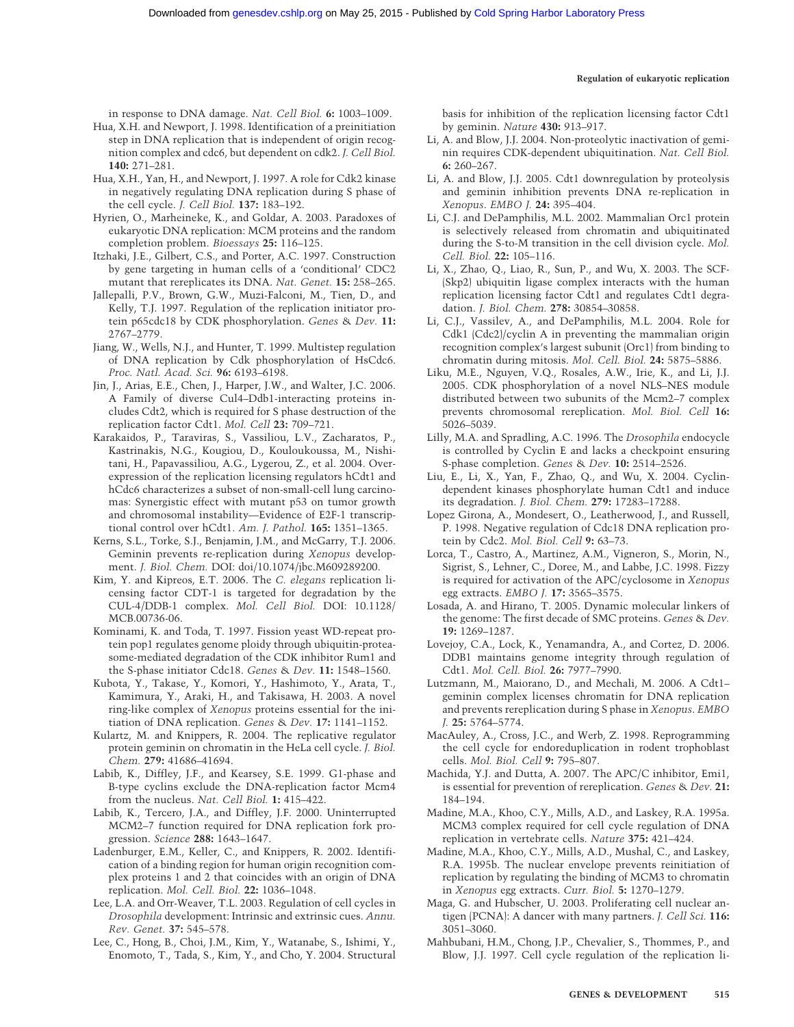in response to DNA damage. *Nat. Cell Biol.* **6:** 1003–1009.

- Hua, X.H. and Newport, J. 1998. Identification of a preinitiation step in DNA replication that is independent of origin recognition complex and cdc6, but dependent on cdk2. *J. Cell Biol.* **140:** 271–281.
- Hua, X.H., Yan, H., and Newport, J. 1997. A role for Cdk2 kinase in negatively regulating DNA replication during S phase of the cell cycle. *J. Cell Biol.* **137:** 183–192.
- Hyrien, O., Marheineke, K., and Goldar, A. 2003. Paradoxes of eukaryotic DNA replication: MCM proteins and the random completion problem. *Bioessays* **25:** 116–125.
- Itzhaki, J.E., Gilbert, C.S., and Porter, A.C. 1997. Construction by gene targeting in human cells of a 'conditional' CDC2 mutant that rereplicates its DNA. *Nat. Genet.* **15:** 258–265.
- Jallepalli, P.V., Brown, G.W., Muzi-Falconi, M., Tien, D., and Kelly, T.J. 1997. Regulation of the replication initiator protein p65cdc18 by CDK phosphorylation. *Genes* & *Dev.* **11:** 2767–2779.
- Jiang, W., Wells, N.J., and Hunter, T. 1999. Multistep regulation of DNA replication by Cdk phosphorylation of HsCdc6. *Proc. Natl. Acad. Sci.* **96:** 6193–6198.
- Jin, J., Arias, E.E., Chen, J., Harper, J.W., and Walter, J.C. 2006. A Family of diverse Cul4–Ddb1-interacting proteins includes Cdt2, which is required for S phase destruction of the replication factor Cdt1. *Mol. Cell* **23:** 709–721.
- Karakaidos, P., Taraviras, S., Vassiliou, L.V., Zacharatos, P., Kastrinakis, N.G., Kougiou, D., Kouloukoussa, M., Nishitani, H., Papavassiliou, A.G., Lygerou, Z., et al. 2004. Overexpression of the replication licensing regulators hCdt1 and hCdc6 characterizes a subset of non-small-cell lung carcinomas: Synergistic effect with mutant p53 on tumor growth and chromosomal instability—Evidence of E2F-1 transcriptional control over hCdt1. *Am. J. Pathol.* **165:** 1351–1365.
- Kerns, S.L., Torke, S.J., Benjamin, J.M., and McGarry, T.J. 2006. Geminin prevents re-replication during *Xenopus* development. *J. Biol. Chem.* DOI: doi/10.1074/jbc.M609289200.
- Kim, Y. and Kipreos, E.T. 2006. The *C. elegans* replication licensing factor CDT-1 is targeted for degradation by the CUL-4/DDB-1 complex. *Mol. Cell Biol.* DOI: 10.1128/ MCB.00736-06.
- Kominami, K. and Toda, T. 1997. Fission yeast WD-repeat protein pop1 regulates genome ploidy through ubiquitin-proteasome-mediated degradation of the CDK inhibitor Rum1 and the S-phase initiator Cdc18. *Genes* & *Dev.* **11:** 1548–1560.
- Kubota, Y., Takase, Y., Komori, Y., Hashimoto, Y., Arata, T., Kamimura, Y., Araki, H., and Takisawa, H. 2003. A novel ring-like complex of *Xenopus* proteins essential for the initiation of DNA replication. *Genes* & *Dev.* **17:** 1141–1152.
- Kulartz, M. and Knippers, R. 2004. The replicative regulator protein geminin on chromatin in the HeLa cell cycle. *J. Biol. Chem.* **279:** 41686–41694.
- Labib, K., Diffley, J.F., and Kearsey, S.E. 1999. G1-phase and B-type cyclins exclude the DNA-replication factor Mcm4 from the nucleus. *Nat. Cell Biol.* **1:** 415–422.
- Labib, K., Tercero, J.A., and Diffley, J.F. 2000. Uninterrupted MCM2–7 function required for DNA replication fork progression. *Science* **288:** 1643–1647.
- Ladenburger, E.M., Keller, C., and Knippers, R. 2002. Identification of a binding region for human origin recognition complex proteins 1 and 2 that coincides with an origin of DNA replication. *Mol. Cell. Biol.* **22:** 1036–1048.
- Lee, L.A. and Orr-Weaver, T.L. 2003. Regulation of cell cycles in *Drosophila* development: Intrinsic and extrinsic cues. *Annu. Rev. Genet.* **37:** 545–578.
- Lee, C., Hong, B., Choi, J.M., Kim, Y., Watanabe, S., Ishimi, Y., Enomoto, T., Tada, S., Kim, Y., and Cho, Y. 2004. Structural

basis for inhibition of the replication licensing factor Cdt1 by geminin. *Nature* **430:** 913–917.

- Li, A. and Blow, J.J. 2004. Non-proteolytic inactivation of geminin requires CDK-dependent ubiquitination. *Nat. Cell Biol.* **6:** 260–267.
- Li, A. and Blow, J.J. 2005. Cdt1 downregulation by proteolysis and geminin inhibition prevents DNA re-replication in *Xenopus*. *EMBO J.* **24:** 395–404.
- Li, C.J. and DePamphilis, M.L. 2002. Mammalian Orc1 protein is selectively released from chromatin and ubiquitinated during the S-to-M transition in the cell division cycle. *Mol. Cell. Biol.* **22:** 105–116.
- Li, X., Zhao, Q., Liao, R., Sun, P., and Wu, X. 2003. The SCF- (Skp2) ubiquitin ligase complex interacts with the human replication licensing factor Cdt1 and regulates Cdt1 degradation. *J. Biol. Chem.* **278:** 30854–30858.
- Li, C.J., Vassilev, A., and DePamphilis, M.L. 2004. Role for Cdk1 (Cdc2)/cyclin A in preventing the mammalian origin recognition complex's largest subunit (Orc1) from binding to chromatin during mitosis. *Mol. Cell. Biol.* **24:** 5875–5886.
- Liku, M.E., Nguyen, V.Q., Rosales, A.W., Irie, K., and Li, J.J. 2005. CDK phosphorylation of a novel NLS–NES module distributed between two subunits of the Mcm2–7 complex prevents chromosomal rereplication. *Mol. Biol. Cell* **16:** 5026–5039.
- Lilly, M.A. and Spradling, A.C. 1996. The *Drosophila* endocycle is controlled by Cyclin E and lacks a checkpoint ensuring S-phase completion. *Genes* & *Dev.* **10:** 2514–2526.
- Liu, E., Li, X., Yan, F., Zhao, Q., and Wu, X. 2004. Cyclindependent kinases phosphorylate human Cdt1 and induce its degradation. *J. Biol. Chem.* **279:** 17283–17288.
- Lopez Girona, A., Mondesert, O., Leatherwood, J., and Russell, P. 1998. Negative regulation of Cdc18 DNA replication protein by Cdc2. *Mol. Biol. Cell* **9:** 63–73.
- Lorca, T., Castro, A., Martinez, A.M., Vigneron, S., Morin, N., Sigrist, S., Lehner, C., Doree, M., and Labbe, J.C. 1998. Fizzy is required for activation of the APC/cyclosome in *Xenopus* egg extracts. *EMBO J.* **17:** 3565–3575.
- Losada, A. and Hirano, T. 2005. Dynamic molecular linkers of the genome: The first decade of SMC proteins. *Genes* & *Dev.* **19:** 1269–1287.
- Lovejoy, C.A., Lock, K., Yenamandra, A., and Cortez, D. 2006. DDB1 maintains genome integrity through regulation of Cdt1. *Mol. Cell. Biol.* **26:** 7977–7990.
- Lutzmann, M., Maiorano, D., and Mechali, M. 2006. A Cdt1– geminin complex licenses chromatin for DNA replication and prevents rereplication during S phase in *Xenopus*. *EMBO J.* **25:** 5764–5774.
- MacAuley, A., Cross, J.C., and Werb, Z. 1998. Reprogramming the cell cycle for endoreduplication in rodent trophoblast cells. *Mol. Biol. Cell* **9:** 795–807.
- Machida, Y.J. and Dutta, A. 2007. The APC/C inhibitor, Emi1, is essential for prevention of rereplication. *Genes* & *Dev.* **21:** 184–194.
- Madine, M.A., Khoo, C.Y., Mills, A.D., and Laskey, R.A. 1995a. MCM3 complex required for cell cycle regulation of DNA replication in vertebrate cells. *Nature* **375:** 421–424.
- Madine, M.A., Khoo, C.Y., Mills, A.D., Mushal, C., and Laskey, R.A. 1995b. The nuclear envelope prevents reinitiation of replication by regulating the binding of MCM3 to chromatin in *Xenopus* egg extracts. *Curr. Biol.* **5:** 1270–1279.
- Maga, G. and Hubscher, U. 2003. Proliferating cell nuclear antigen (PCNA): A dancer with many partners. *J. Cell Sci.* **116:** 3051–3060.
- Mahbubani, H.M., Chong, J.P., Chevalier, S., Thommes, P., and Blow, J.J. 1997. Cell cycle regulation of the replication li-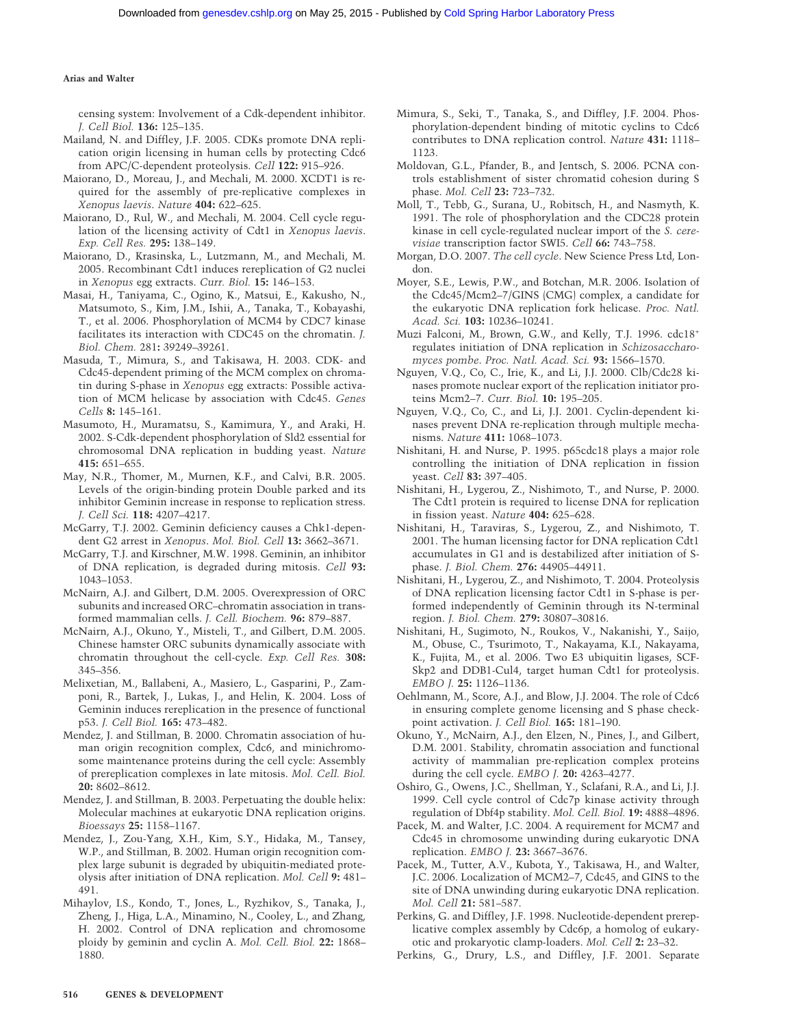censing system: Involvement of a Cdk-dependent inhibitor. *J. Cell Biol.* **136:** 125–135.

- Mailand, N. and Diffley, J.F. 2005. CDKs promote DNA replication origin licensing in human cells by protecting Cdc6 from APC/C-dependent proteolysis. *Cell* **122:** 915–926.
- Maiorano, D., Moreau, J., and Mechali, M. 2000. XCDT1 is required for the assembly of pre-replicative complexes in *Xenopus laevis*. *Nature* **404:** 622–625.
- Maiorano, D., Rul, W., and Mechali, M. 2004. Cell cycle regulation of the licensing activity of Cdt1 in *Xenopus laevis*. *Exp. Cell Res.* **295:** 138–149.
- Maiorano, D., Krasinska, L., Lutzmann, M., and Mechali, M. 2005. Recombinant Cdt1 induces rereplication of G2 nuclei in *Xenopus* egg extracts. *Curr. Biol.* **15:** 146–153.
- Masai, H., Taniyama, C., Ogino, K., Matsui, E., Kakusho, N., Matsumoto, S., Kim, J.M., Ishii, A., Tanaka, T., Kobayashi, T., et al. 2006. Phosphorylation of MCM4 by CDC7 kinase facilitates its interaction with CDC45 on the chromatin. *J. Biol. Chem.* 281**:** 39249–39261.
- Masuda, T., Mimura, S., and Takisawa, H. 2003. CDK- and Cdc45-dependent priming of the MCM complex on chromatin during S-phase in *Xenopus* egg extracts: Possible activation of MCM helicase by association with Cdc45. *Genes Cells* **8:** 145–161.
- Masumoto, H., Muramatsu, S., Kamimura, Y., and Araki, H. 2002. S-Cdk-dependent phosphorylation of Sld2 essential for chromosomal DNA replication in budding yeast. *Nature* **415:** 651–655.
- May, N.R., Thomer, M., Murnen, K.F., and Calvi, B.R. 2005. Levels of the origin-binding protein Double parked and its inhibitor Geminin increase in response to replication stress. *J. Cell Sci.* **118:** 4207–4217.
- McGarry, T.J. 2002. Geminin deficiency causes a Chk1-dependent G2 arrest in *Xenopus*. *Mol. Biol. Cell* **13:** 3662–3671.
- McGarry, T.J. and Kirschner, M.W. 1998. Geminin, an inhibitor of DNA replication, is degraded during mitosis. *Cell* **93:** 1043–1053.
- McNairn, A.J. and Gilbert, D.M. 2005. Overexpression of ORC subunits and increased ORC–chromatin association in transformed mammalian cells. *J. Cell. Biochem.* **96:** 879–887.
- McNairn, A.J., Okuno, Y., Misteli, T., and Gilbert, D.M. 2005. Chinese hamster ORC subunits dynamically associate with chromatin throughout the cell-cycle. *Exp. Cell Res.* **308:** 345–356.
- Melixetian, M., Ballabeni, A., Masiero, L., Gasparini, P., Zamponi, R., Bartek, J., Lukas, J., and Helin, K. 2004. Loss of Geminin induces rereplication in the presence of functional p53. *J. Cell Biol.* **165:** 473–482.
- Mendez, J. and Stillman, B. 2000. Chromatin association of human origin recognition complex, Cdc6, and minichromosome maintenance proteins during the cell cycle: Assembly of prereplication complexes in late mitosis. *Mol. Cell. Biol.* **20:** 8602–8612.
- Mendez, J. and Stillman, B. 2003. Perpetuating the double helix: Molecular machines at eukaryotic DNA replication origins. *Bioessays* **25:** 1158–1167.
- Mendez, J., Zou-Yang, X.H., Kim, S.Y., Hidaka, M., Tansey, W.P., and Stillman, B. 2002. Human origin recognition complex large subunit is degraded by ubiquitin-mediated proteolysis after initiation of DNA replication. *Mol. Cell* **9:** 481– 491.
- Mihaylov, I.S., Kondo, T., Jones, L., Ryzhikov, S., Tanaka, J., Zheng, J., Higa, L.A., Minamino, N., Cooley, L., and Zhang, H. 2002. Control of DNA replication and chromosome ploidy by geminin and cyclin A. *Mol. Cell. Biol.* **22:** 1868– 1880.
- Mimura, S., Seki, T., Tanaka, S., and Diffley, J.F. 2004. Phosphorylation-dependent binding of mitotic cyclins to Cdc6 contributes to DNA replication control. *Nature* **431:** 1118– 1123.
- Moldovan, G.L., Pfander, B., and Jentsch, S. 2006. PCNA controls establishment of sister chromatid cohesion during S phase. *Mol. Cell* **23:** 723–732.
- Moll, T., Tebb, G., Surana, U., Robitsch, H., and Nasmyth, K. 1991. The role of phosphorylation and the CDC28 protein kinase in cell cycle-regulated nuclear import of the *S. cerevisiae* transcription factor SWI5. *Cell* **66:** 743–758.
- Morgan, D.O. 2007. *The cell cycle*. New Science Press Ltd, London.
- Moyer, S.E., Lewis, P.W., and Botchan, M.R. 2006. Isolation of the Cdc45/Mcm2–7/GINS (CMG) complex, a candidate for the eukaryotic DNA replication fork helicase. *Proc. Natl. Acad. Sci.* **103:** 10236–10241.
- Muzi Falconi, M., Brown, G.W., and Kelly, T.J. 1996. cdc18<sup>+</sup> regulates initiation of DNA replication in *Schizosaccharomyces pombe*. *Proc. Natl. Acad. Sci.* **93:** 1566–1570.
- Nguyen, V.Q., Co, C., Irie, K., and Li, J.J. 2000. Clb/Cdc28 kinases promote nuclear export of the replication initiator proteins Mcm2–7. *Curr. Biol.* **10:** 195–205.
- Nguyen, V.Q., Co, C., and Li, J.J. 2001. Cyclin-dependent kinases prevent DNA re-replication through multiple mechanisms. *Nature* **411:** 1068–1073.
- Nishitani, H. and Nurse, P. 1995. p65cdc18 plays a major role controlling the initiation of DNA replication in fission yeast. *Cell* **83:** 397–405.
- Nishitani, H., Lygerou, Z., Nishimoto, T., and Nurse, P. 2000. The Cdt1 protein is required to license DNA for replication in fission yeast. *Nature* **404:** 625–628.
- Nishitani, H., Taraviras, S., Lygerou, Z., and Nishimoto, T. 2001. The human licensing factor for DNA replication Cdt1 accumulates in G1 and is destabilized after initiation of Sphase. *J. Biol. Chem.* **276:** 44905–44911.
- Nishitani, H., Lygerou, Z., and Nishimoto, T. 2004. Proteolysis of DNA replication licensing factor Cdt1 in S-phase is performed independently of Geminin through its N-terminal region. *J. Biol. Chem.* **279:** 30807–30816.
- Nishitani, H., Sugimoto, N., Roukos, V., Nakanishi, Y., Saijo, M., Obuse, C., Tsurimoto, T., Nakayama, K.I., Nakayama, K., Fujita, M., et al. 2006. Two E3 ubiquitin ligases, SCF-Skp2 and DDB1-Cul4, target human Cdt1 for proteolysis. *EMBO J.* **25:** 1126–1136.
- Oehlmann, M., Score, A.J., and Blow, J.J. 2004. The role of Cdc6 in ensuring complete genome licensing and S phase checkpoint activation. *J. Cell Biol.* **165:** 181–190.
- Okuno, Y., McNairn, A.J., den Elzen, N., Pines, J., and Gilbert, D.M. 2001. Stability, chromatin association and functional activity of mammalian pre-replication complex proteins during the cell cycle. *EMBO J.* **20:** 4263–4277.
- Oshiro, G., Owens, J.C., Shellman, Y., Sclafani, R.A., and Li, J.J. 1999. Cell cycle control of Cdc7p kinase activity through regulation of Dbf4p stability. *Mol. Cell. Biol.* **19:** 4888–4896.
- Pacek, M. and Walter, J.C. 2004. A requirement for MCM7 and Cdc45 in chromosome unwinding during eukaryotic DNA replication. *EMBO J.* **23:** 3667–3676.
- Pacek, M., Tutter, A.V., Kubota, Y., Takisawa, H., and Walter, J.C. 2006. Localization of MCM2–7, Cdc45, and GINS to the site of DNA unwinding during eukaryotic DNA replication. *Mol. Cell* **21:** 581–587.
- Perkins, G. and Diffley, J.F. 1998. Nucleotide-dependent prereplicative complex assembly by Cdc6p, a homolog of eukaryotic and prokaryotic clamp-loaders. *Mol. Cell* **2:** 23–32.
- Perkins, G., Drury, L.S., and Diffley, J.F. 2001. Separate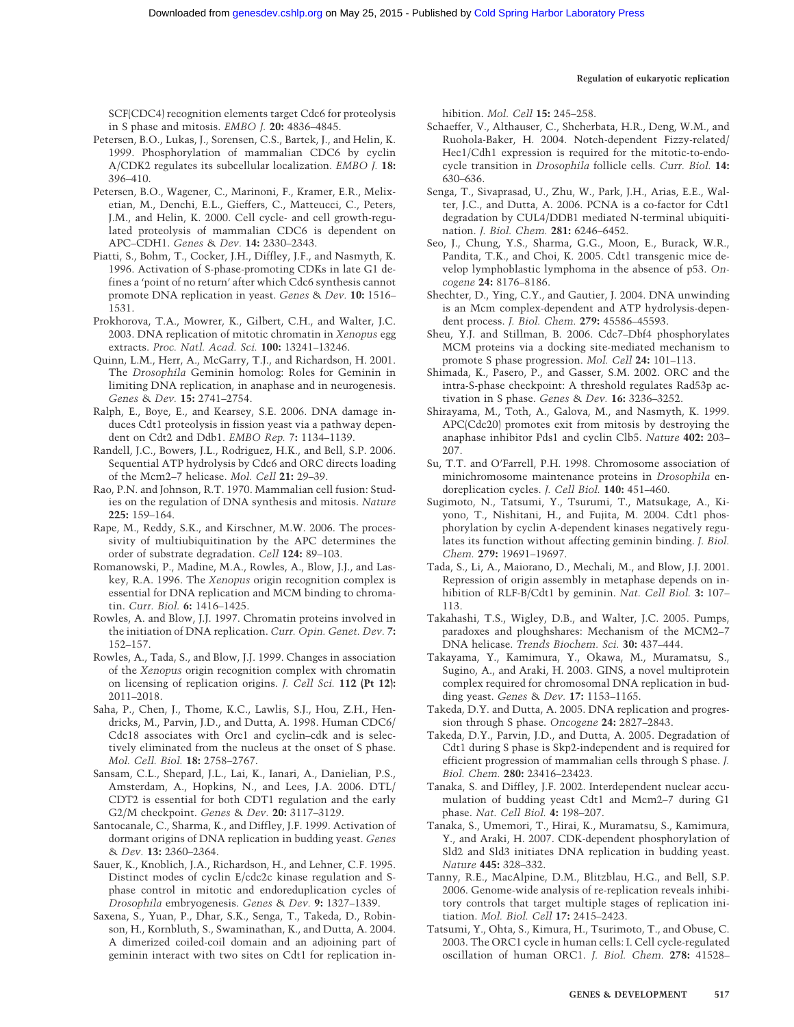SCF(CDC4) recognition elements target Cdc6 for proteolysis in S phase and mitosis. *EMBO J.* **20:** 4836–4845.

- Petersen, B.O., Lukas, J., Sorensen, C.S., Bartek, J., and Helin, K. 1999. Phosphorylation of mammalian CDC6 by cyclin A/CDK2 regulates its subcellular localization. *EMBO J.* **18:** 396–410.
- Petersen, B.O., Wagener, C., Marinoni, F., Kramer, E.R., Melixetian, M., Denchi, E.L., Gieffers, C., Matteucci, C., Peters, J.M., and Helin, K. 2000. Cell cycle- and cell growth-regulated proteolysis of mammalian CDC6 is dependent on APC–CDH1. *Genes* & *Dev.* **14:** 2330–2343.
- Piatti, S., Bohm, T., Cocker, J.H., Diffley, J.F., and Nasmyth, K. 1996. Activation of S-phase-promoting CDKs in late G1 defines a 'point of no return' after which Cdc6 synthesis cannot promote DNA replication in yeast. *Genes* & *Dev.* **10:** 1516– 1531.
- Prokhorova, T.A., Mowrer, K., Gilbert, C.H., and Walter, J.C. 2003. DNA replication of mitotic chromatin in *Xenopus* egg extracts. *Proc. Natl. Acad. Sci.* **100:** 13241–13246.
- Quinn, L.M., Herr, A., McGarry, T.J., and Richardson, H. 2001. The *Drosophila* Geminin homolog: Roles for Geminin in limiting DNA replication, in anaphase and in neurogenesis. *Genes* & *Dev.* **15:** 2741–2754.
- Ralph, E., Boye, E., and Kearsey, S.E. 2006. DNA damage induces Cdt1 proteolysis in fission yeast via a pathway dependent on Cdt2 and Ddb1. *EMBO Rep.* 7**:** 1134–1139.
- Randell, J.C., Bowers, J.L., Rodriguez, H.K., and Bell, S.P. 2006. Sequential ATP hydrolysis by Cdc6 and ORC directs loading of the Mcm2–7 helicase. *Mol. Cell* **21:** 29–39.
- Rao, P.N. and Johnson, R.T. 1970. Mammalian cell fusion: Studies on the regulation of DNA synthesis and mitosis. *Nature* **225:** 159–164.
- Rape, M., Reddy, S.K., and Kirschner, M.W. 2006. The processivity of multiubiquitination by the APC determines the order of substrate degradation. *Cell* **124:** 89–103.
- Romanowski, P., Madine, M.A., Rowles, A., Blow, J.J., and Laskey, R.A. 1996. The *Xenopus* origin recognition complex is essential for DNA replication and MCM binding to chromatin. *Curr. Biol.* **6:** 1416–1425.
- Rowles, A. and Blow, J.J. 1997. Chromatin proteins involved in the initiation of DNA replication. *Curr. Opin. Genet. Dev.* **7:** 152–157.
- Rowles, A., Tada, S., and Blow, J.J. 1999. Changes in association of the *Xenopus* origin recognition complex with chromatin on licensing of replication origins. *J. Cell Sci.* **112 (Pt 12):** 2011–2018.
- Saha, P., Chen, J., Thome, K.C., Lawlis, S.J., Hou, Z.H., Hendricks, M., Parvin, J.D., and Dutta, A. 1998. Human CDC6/ Cdc18 associates with Orc1 and cyclin–cdk and is selectively eliminated from the nucleus at the onset of S phase. *Mol. Cell. Biol.* **18:** 2758–2767.
- Sansam, C.L., Shepard, J.L., Lai, K., Ianari, A., Danielian, P.S., Amsterdam, A., Hopkins, N., and Lees, J.A. 2006. DTL/ CDT2 is essential for both CDT1 regulation and the early G2/M checkpoint. *Genes* & *Dev.* **20:** 3117–3129.
- Santocanale, C., Sharma, K., and Diffley, J.F. 1999. Activation of dormant origins of DNA replication in budding yeast. *Genes* & *Dev.* **13:** 2360–2364.
- Sauer, K., Knoblich, J.A., Richardson, H., and Lehner, C.F. 1995. Distinct modes of cyclin E/cdc2c kinase regulation and Sphase control in mitotic and endoreduplication cycles of *Drosophila* embryogenesis. *Genes* & *Dev.* **9:** 1327–1339.
- Saxena, S., Yuan, P., Dhar, S.K., Senga, T., Takeda, D., Robinson, H., Kornbluth, S., Swaminathan, K., and Dutta, A. 2004. A dimerized coiled-coil domain and an adjoining part of geminin interact with two sites on Cdt1 for replication in-

hibition. *Mol. Cell* **15:** 245–258.

- Schaeffer, V., Althauser, C., Shcherbata, H.R., Deng, W.M., and Ruohola-Baker, H. 2004. Notch-dependent Fizzy-related/ Hec1/Cdh1 expression is required for the mitotic-to-endocycle transition in *Drosophila* follicle cells. *Curr. Biol.* **14:** 630–636.
- Senga, T., Sivaprasad, U., Zhu, W., Park, J.H., Arias, E.E., Walter, J.C., and Dutta, A. 2006. PCNA is a co-factor for Cdt1 degradation by CUL4/DDB1 mediated N-terminal ubiquitination. *J. Biol. Chem.* **281:** 6246–6452.
- Seo, J., Chung, Y.S., Sharma, G.G., Moon, E., Burack, W.R., Pandita, T.K., and Choi, K. 2005. Cdt1 transgenic mice develop lymphoblastic lymphoma in the absence of p53. *Oncogene* **24:** 8176–8186.
- Shechter, D., Ying, C.Y., and Gautier, J. 2004. DNA unwinding is an Mcm complex-dependent and ATP hydrolysis-dependent process. *J. Biol. Chem.* **279:** 45586–45593.
- Sheu, Y.J. and Stillman, B. 2006. Cdc7–Dbf4 phosphorylates MCM proteins via a docking site-mediated mechanism to promote S phase progression. *Mol. Cell* **24:** 101–113.
- Shimada, K., Pasero, P., and Gasser, S.M. 2002. ORC and the intra-S-phase checkpoint: A threshold regulates Rad53p activation in S phase. *Genes* & *Dev.* **16:** 3236–3252.
- Shirayama, M., Toth, A., Galova, M., and Nasmyth, K. 1999. APC(Cdc20) promotes exit from mitosis by destroying the anaphase inhibitor Pds1 and cyclin Clb5. *Nature* **402:** 203– 207.
- Su, T.T. and O'Farrell, P.H. 1998. Chromosome association of minichromosome maintenance proteins in *Drosophila* endoreplication cycles. *J. Cell Biol.* **140:** 451–460.
- Sugimoto, N., Tatsumi, Y., Tsurumi, T., Matsukage, A., Kiyono, T., Nishitani, H., and Fujita, M. 2004. Cdt1 phosphorylation by cyclin A-dependent kinases negatively regulates its function without affecting geminin binding. *J. Biol. Chem.* **279:** 19691–19697.
- Tada, S., Li, A., Maiorano, D., Mechali, M., and Blow, J.J. 2001. Repression of origin assembly in metaphase depends on inhibition of RLF-B/Cdt1 by geminin. *Nat. Cell Biol.* **3:** 107– 113.
- Takahashi, T.S., Wigley, D.B., and Walter, J.C. 2005. Pumps, paradoxes and ploughshares: Mechanism of the MCM2–7 DNA helicase. *Trends Biochem. Sci.* **30:** 437–444.
- Takayama, Y., Kamimura, Y., Okawa, M., Muramatsu, S., Sugino, A., and Araki, H. 2003. GINS, a novel multiprotein complex required for chromosomal DNA replication in budding yeast. *Genes* & *Dev.* **17:** 1153–1165.
- Takeda, D.Y. and Dutta, A. 2005. DNA replication and progression through S phase. *Oncogene* **24:** 2827–2843.
- Takeda, D.Y., Parvin, J.D., and Dutta, A. 2005. Degradation of Cdt1 during S phase is Skp2-independent and is required for efficient progression of mammalian cells through S phase. *J. Biol. Chem.* **280:** 23416–23423.
- Tanaka, S. and Diffley, J.F. 2002. Interdependent nuclear accumulation of budding yeast Cdt1 and Mcm2–7 during G1 phase. *Nat. Cell Biol.* **4:** 198–207.
- Tanaka, S., Umemori, T., Hirai, K., Muramatsu, S., Kamimura, Y., and Araki, H. 2007. CDK-dependent phosphorylation of Sld2 and Sld3 initiates DNA replication in budding yeast. *Nature* **445:** 328–332.
- Tanny, R.E., MacAlpine, D.M., Blitzblau, H.G., and Bell, S.P. 2006. Genome-wide analysis of re-replication reveals inhibitory controls that target multiple stages of replication initiation. *Mol. Biol. Cell* **17:** 2415–2423.
- Tatsumi, Y., Ohta, S., Kimura, H., Tsurimoto, T., and Obuse, C. 2003. The ORC1 cycle in human cells: I. Cell cycle-regulated oscillation of human ORC1. *J. Biol. Chem.* **278:** 41528–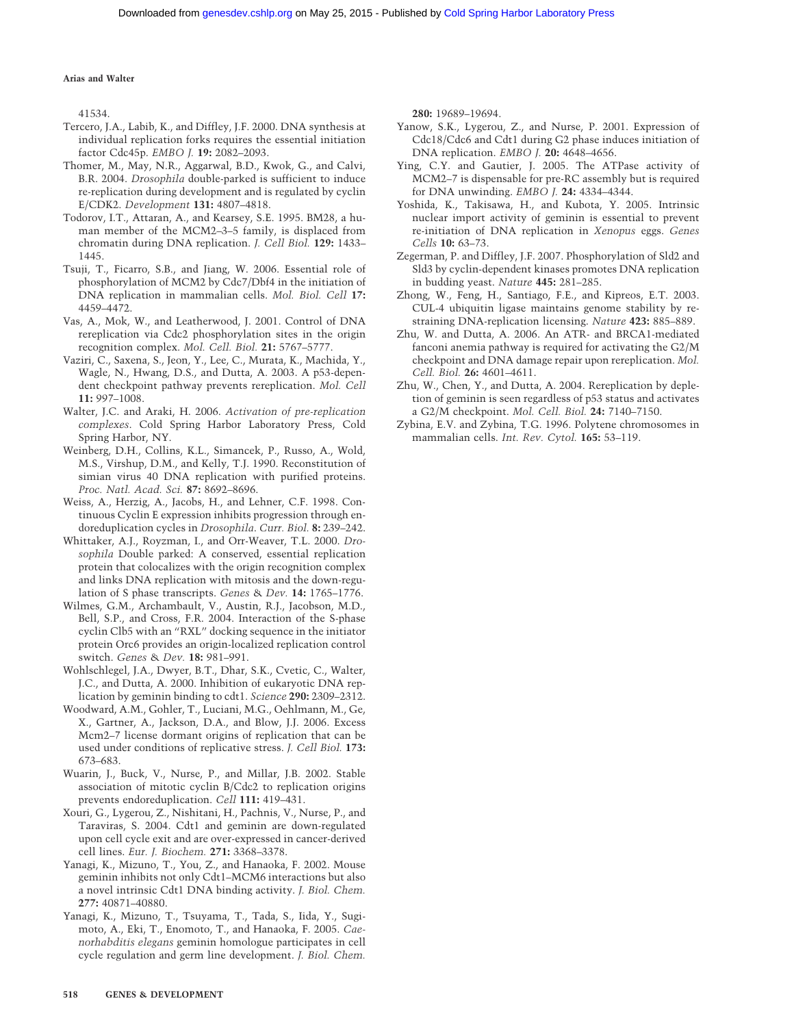41534.

- Tercero, J.A., Labib, K., and Diffley, J.F. 2000. DNA synthesis at individual replication forks requires the essential initiation factor Cdc45p. *EMBO J.* **19:** 2082–2093.
- Thomer, M., May, N.R., Aggarwal, B.D., Kwok, G., and Calvi, B.R. 2004. *Drosophila* double-parked is sufficient to induce re-replication during development and is regulated by cyclin E/CDK2. *Development* **131:** 4807–4818.
- Todorov, I.T., Attaran, A., and Kearsey, S.E. 1995. BM28, a human member of the MCM2–3–5 family, is displaced from chromatin during DNA replication. *J. Cell Biol.* **129:** 1433– 1445.
- Tsuji, T., Ficarro, S.B., and Jiang, W. 2006. Essential role of phosphorylation of MCM2 by Cdc7/Dbf4 in the initiation of DNA replication in mammalian cells. *Mol. Biol. Cell* **17:** 4459–4472.
- Vas, A., Mok, W., and Leatherwood, J. 2001. Control of DNA rereplication via Cdc2 phosphorylation sites in the origin recognition complex. *Mol. Cell. Biol.* **21:** 5767–5777.
- Vaziri, C., Saxena, S., Jeon, Y., Lee, C., Murata, K., Machida, Y., Wagle, N., Hwang, D.S., and Dutta, A. 2003. A p53-dependent checkpoint pathway prevents rereplication. *Mol. Cell* **11:** 997–1008.
- Walter, J.C. and Araki, H. 2006. *Activation of pre-replication complexes*. Cold Spring Harbor Laboratory Press, Cold Spring Harbor, NY.
- Weinberg, D.H., Collins, K.L., Simancek, P., Russo, A., Wold, M.S., Virshup, D.M., and Kelly, T.J. 1990. Reconstitution of simian virus 40 DNA replication with purified proteins. *Proc. Natl. Acad. Sci.* **87:** 8692–8696.
- Weiss, A., Herzig, A., Jacobs, H., and Lehner, C.F. 1998. Continuous Cyclin E expression inhibits progression through endoreduplication cycles in *Drosophila*. *Curr. Biol.* **8:** 239–242.
- Whittaker, A.J., Royzman, I., and Orr-Weaver, T.L. 2000. *Drosophila* Double parked: A conserved, essential replication protein that colocalizes with the origin recognition complex and links DNA replication with mitosis and the down-regulation of S phase transcripts. *Genes* & *Dev.* **14:** 1765–1776.
- Wilmes, G.M., Archambault, V., Austin, R.J., Jacobson, M.D., Bell, S.P., and Cross, F.R. 2004. Interaction of the S-phase cyclin Clb5 with an "RXL" docking sequence in the initiator protein Orc6 provides an origin-localized replication control switch. *Genes* & *Dev.* **18:** 981–991.
- Wohlschlegel, J.A., Dwyer, B.T., Dhar, S.K., Cvetic, C., Walter, J.C., and Dutta, A. 2000. Inhibition of eukaryotic DNA replication by geminin binding to cdt1. *Science* **290:** 2309–2312.
- Woodward, A.M., Gohler, T., Luciani, M.G., Oehlmann, M., Ge, X., Gartner, A., Jackson, D.A., and Blow, J.J. 2006. Excess Mcm2–7 license dormant origins of replication that can be used under conditions of replicative stress. *J. Cell Biol.* **173:** 673–683.
- Wuarin, J., Buck, V., Nurse, P., and Millar, J.B. 2002. Stable association of mitotic cyclin B/Cdc2 to replication origins prevents endoreduplication. *Cell* **111:** 419–431.
- Xouri, G., Lygerou, Z., Nishitani, H., Pachnis, V., Nurse, P., and Taraviras, S. 2004. Cdt1 and geminin are down-regulated upon cell cycle exit and are over-expressed in cancer-derived cell lines. *Eur. J. Biochem.* **271:** 3368–3378.
- Yanagi, K., Mizuno, T., You, Z., and Hanaoka, F. 2002. Mouse geminin inhibits not only Cdt1–MCM6 interactions but also a novel intrinsic Cdt1 DNA binding activity. *J. Biol. Chem.* **277:** 40871–40880.
- Yanagi, K., Mizuno, T., Tsuyama, T., Tada, S., Iida, Y., Sugimoto, A., Eki, T., Enomoto, T., and Hanaoka, F. 2005. *Caenorhabditis elegans* geminin homologue participates in cell cycle regulation and germ line development. *J. Biol. Chem.*

**280:** 19689–19694.

- Yanow, S.K., Lygerou, Z., and Nurse, P. 2001. Expression of Cdc18/Cdc6 and Cdt1 during G2 phase induces initiation of DNA replication. *EMBO J.* **20:** 4648–4656.
- Ying, C.Y. and Gautier, J. 2005. The ATPase activity of MCM2–7 is dispensable for pre-RC assembly but is required for DNA unwinding. *EMBO J.* **24:** 4334–4344.
- Yoshida, K., Takisawa, H., and Kubota, Y. 2005. Intrinsic nuclear import activity of geminin is essential to prevent re-initiation of DNA replication in *Xenopus* eggs. *Genes Cells* **10:** 63–73.
- Zegerman, P. and Diffley, J.F. 2007. Phosphorylation of Sld2 and Sld3 by cyclin-dependent kinases promotes DNA replication in budding yeast. *Nature* **445:** 281–285.
- Zhong, W., Feng, H., Santiago, F.E., and Kipreos, E.T. 2003. CUL-4 ubiquitin ligase maintains genome stability by restraining DNA-replication licensing. *Nature* **423:** 885–889.
- Zhu, W. and Dutta, A. 2006. An ATR- and BRCA1-mediated fanconi anemia pathway is required for activating the G2/M checkpoint and DNA damage repair upon rereplication. *Mol. Cell. Biol.* **26:** 4601–4611.
- Zhu, W., Chen, Y., and Dutta, A. 2004. Rereplication by depletion of geminin is seen regardless of p53 status and activates a G2/M checkpoint. *Mol. Cell. Biol.* **24:** 7140–7150.
- Zybina, E.V. and Zybina, T.G. 1996. Polytene chromosomes in mammalian cells. *Int. Rev. Cytol.* **165:** 53–119.